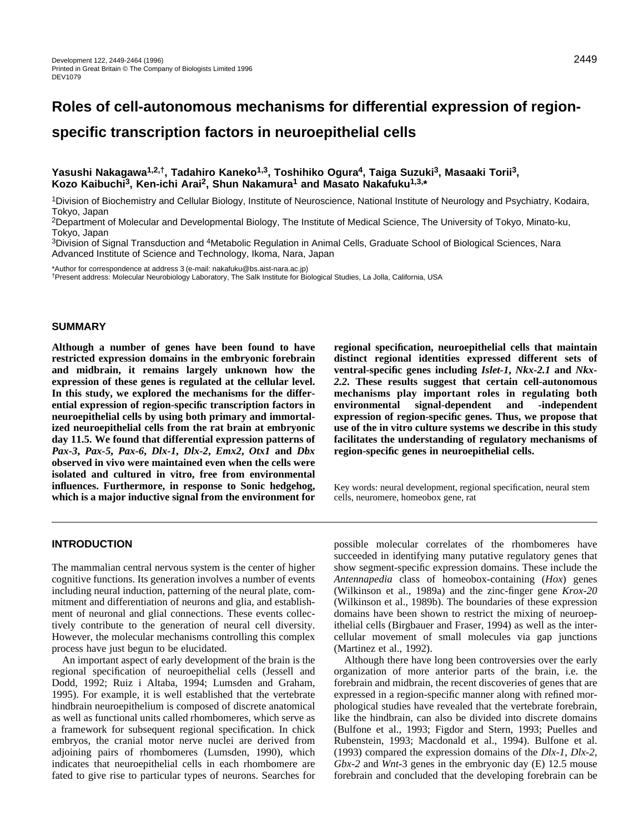# **Roles of cell-autonomous mechanisms for differential expression of region-**

**specific transcription factors in neuroepithelial cells**

# **Yasushi Nakagawa1,2,†, Tadahiro Kaneko1,3, Toshihiko Ogura4, Taiga Suzuki3, Masaaki Torii3, Kozo Kaibuchi3, Ken-ichi Arai2, Shun Nakamura1 and Masato Nakafuku1,3,\***

1Division of Biochemistry and Cellular Biology, Institute of Neuroscience, National Institute of Neurology and Psychiatry, Kodaira, Tokyo, Japan

2Department of Molecular and Developmental Biology, The Institute of Medical Science, The University of Tokyo, Minato-ku, Tokyo, Japan

3Division of Signal Transduction and 4Metabolic Regulation in Animal Cells, Graduate School of Biological Sciences, Nara Advanced Institute of Science and Technology, Ikoma, Nara, Japan

\*Author for correspondence at address 3 (e-mail: nakafuku@bs.aist-nara.ac.jp)

†Present address: Molecular Neurobiology Laboratory, The Salk Institute for Biological Studies, La Jolla, California, USA

#### **SUMMARY**

**Although a number of genes have been found to have restricted expression domains in the embryonic forebrain and midbrain, it remains largely unknown how the expression of these genes is regulated at the cellular level. In this study, we explored the mechanisms for the differential expression of region-specific transcription factors in neuroepithelial cells by using both primary and immortalized neuroepithelial cells from the rat brain at embryonic day 11.5. We found that differential expression patterns of** *Pax-3***,** *Pax-5***,** *Pax-6***,** *Dlx-1***,** *Dlx-2***,** *Emx2***,** *Otx1* **and** *Dbx* **observed in vivo were maintained even when the cells were isolated and cultured in vitro, free from environmental influences. Furthermore, in response to Sonic hedgehog, which is a major inductive signal from the environment for**

**regional specification, neuroepithelial cells that maintain distinct regional identities expressed different sets of ventral-specific genes including** *Islet-1***,** *Nkx-2.1* **and** *Nkx-2.2***. These results suggest that certain cell-autonomous mechanisms play important roles in regulating both environmental signal-dependent and -independent expression of region-specific genes. Thus, we propose that use of the in vitro culture systems we describe in this study facilitates the understanding of regulatory mechanisms of region-specific genes in neuroepithelial cells.** 

Key words: neural development, regional specification, neural stem cells, neuromere, homeobox gene, rat

# **INTRODUCTION**

The mammalian central nervous system is the center of higher cognitive functions. Its generation involves a number of events including neural induction, patterning of the neural plate, commitment and differentiation of neurons and glia, and establishment of neuronal and glial connections. These events collectively contribute to the generation of neural cell diversity. However, the molecular mechanisms controlling this complex process have just begun to be elucidated.

An important aspect of early development of the brain is the regional specification of neuroepithelial cells (Jessell and Dodd, 1992; Ruiz i Altaba, 1994; Lumsden and Graham, 1995). For example, it is well established that the vertebrate hindbrain neuroepithelium is composed of discrete anatomical as well as functional units called rhombomeres, which serve as a framework for subsequent regional specification. In chick embryos, the cranial motor nerve nuclei are derived from adjoining pairs of rhombomeres (Lumsden, 1990), which indicates that neuroepithelial cells in each rhombomere are fated to give rise to particular types of neurons. Searches for

possible molecular correlates of the rhombomeres have succeeded in identifying many putative regulatory genes that show segment-specific expression domains. These include the *Antennapedia* class of homeobox-containing (*Hox*) genes (Wilkinson et al., 1989a) and the zinc-finger gene *Krox-20* (Wilkinson et al., 1989b). The boundaries of these expression domains have been shown to restrict the mixing of neuroepithelial cells (Birgbauer and Fraser, 1994) as well as the intercellular movement of small molecules via gap junctions (Martinez et al., 1992).

Although there have long been controversies over the early organization of more anterior parts of the brain, i.e. the forebrain and midbrain, the recent discoveries of genes that are expressed in a region-specific manner along with refined morphological studies have revealed that the vertebrate forebrain, like the hindbrain, can also be divided into discrete domains (Bulfone et al., 1993; Figdor and Stern, 1993; Puelles and Rubenstein, 1993; Macdonald et al., 1994). Bulfone et al. (1993) compared the expression domains of the *Dlx-1*, *Dlx-2*, *Gbx-2* and *Wnt-*3 genes in the embryonic day (E) 12.5 mouse forebrain and concluded that the developing forebrain can be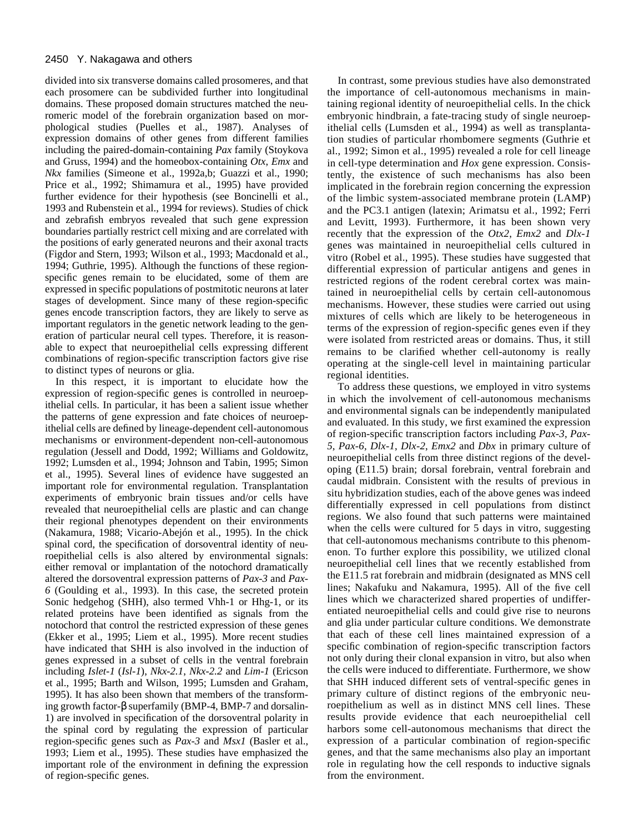divided into six transverse domains called prosomeres, and that each prosomere can be subdivided further into longitudinal domains. These proposed domain structures matched the neuromeric model of the forebrain organization based on morphological studies (Puelles et al., 1987). Analyses of expression domains of other genes from different families including the paired-domain-containing *Pax* family (Stoykova and Gruss, 1994) and the homeobox-containing *Otx*, *Emx* and *Nkx* families (Simeone et al., 1992a,b; Guazzi et al., 1990; Price et al., 1992; Shimamura et al., 1995) have provided further evidence for their hypothesis (see Boncinelli et al., 1993 and Rubenstein et al., 1994 for reviews). Studies of chick and zebrafish embryos revealed that such gene expression boundaries partially restrict cell mixing and are correlated with the positions of early generated neurons and their axonal tracts (Figdor and Stern, 1993; Wilson et al., 1993; Macdonald et al., 1994; Guthrie, 1995). Although the functions of these regionspecific genes remain to be elucidated, some of them are expressed in specific populations of postmitotic neurons at later stages of development. Since many of these region-specific genes encode transcription factors, they are likely to serve as important regulators in the genetic network leading to the generation of particular neural cell types. Therefore, it is reasonable to expect that neuroepithelial cells expressing different combinations of region-specific transcription factors give rise to distinct types of neurons or glia.

In this respect, it is important to elucidate how the expression of region-specific genes is controlled in neuroepithelial cells. In particular, it has been a salient issue whether the patterns of gene expression and fate choices of neuroepithelial cells are defined by lineage-dependent cell-autonomous mechanisms or environment-dependent non-cell-autonomous regulation (Jessell and Dodd, 1992; Williams and Goldowitz, 1992; Lumsden et al., 1994; Johnson and Tabin, 1995; Simon et al., 1995). Several lines of evidence have suggested an important role for environmental regulation. Transplantation experiments of embryonic brain tissues and/or cells have revealed that neuroepithelial cells are plastic and can change their regional phenotypes dependent on their environments (Nakamura, 1988; Vicario-Abejón et al., 1995). In the chick spinal cord, the specification of dorsoventral identity of neuroepithelial cells is also altered by environmental signals: either removal or implantation of the notochord dramatically altered the dorsoventral expression patterns of *Pax-3* and *Pax-6* (Goulding et al., 1993). In this case, the secreted protein Sonic hedgehog (SHH), also termed Vhh-1 or Hhg-1, or its related proteins have been identified as signals from the notochord that control the restricted expression of these genes (Ekker et al., 1995; Liem et al., 1995). More recent studies have indicated that SHH is also involved in the induction of genes expressed in a subset of cells in the ventral forebrain including *Islet-1* (*Isl-1*), *Nkx-2.1*, *Nkx-2.2* and *Lim-1* (Ericson et al., 1995; Barth and Wilson, 1995; Lumsden and Graham, 1995). It has also been shown that members of the transforming growth factor-β superfamily (BMP-4, BMP-7 and dorsalin-1) are involved in specification of the dorsoventral polarity in the spinal cord by regulating the expression of particular region-specific genes such as *Pax-3* and *Msx1* (Basler et al., 1993; Liem et al., 1995). These studies have emphasized the important role of the environment in defining the expression of region-specific genes.

In contrast, some previous studies have also demonstrated the importance of cell-autonomous mechanisms in maintaining regional identity of neuroepithelial cells. In the chick embryonic hindbrain, a fate-tracing study of single neuroepithelial cells (Lumsden et al., 1994) as well as transplantation studies of particular rhombomere segments (Guthrie et al., 1992; Simon et al., 1995) revealed a role for cell lineage in cell-type determination and *Hox* gene expression. Consistently, the existence of such mechanisms has also been implicated in the forebrain region concerning the expression of the limbic system-associated membrane protein (LAMP) and the PC3.1 antigen (latexin; Arimatsu et al., 1992; Ferri and Levitt, 1993). Furthermore, it has been shown very recently that the expression of the *Otx2*, *Emx2* and *Dlx-1* genes was maintained in neuroepithelial cells cultured in vitro (Robel et al., 1995). These studies have suggested that differential expression of particular antigens and genes in restricted regions of the rodent cerebral cortex was maintained in neuroepithelial cells by certain cell-autonomous mechanisms. However, these studies were carried out using mixtures of cells which are likely to be heterogeneous in terms of the expression of region-specific genes even if they were isolated from restricted areas or domains. Thus, it still remains to be clarified whether cell-autonomy is really operating at the single-cell level in maintaining particular regional identities.

To address these questions, we employed in vitro systems in which the involvement of cell-autonomous mechanisms and environmental signals can be independently manipulated and evaluated. In this study, we first examined the expression of region-specific transcription factors including *Pax-3*, *Pax-5*, *Pax-6*, *Dlx-1*, *Dlx-2*, *Emx2* and *Dbx* in primary culture of neuroepithelial cells from three distinct regions of the developing (E11.5) brain; dorsal forebrain, ventral forebrain and caudal midbrain. Consistent with the results of previous in situ hybridization studies, each of the above genes was indeed differentially expressed in cell populations from distinct regions. We also found that such patterns were maintained when the cells were cultured for 5 days in vitro, suggesting that cell-autonomous mechanisms contribute to this phenomenon. To further explore this possibility, we utilized clonal neuroepithelial cell lines that we recently established from the E11.5 rat forebrain and midbrain (designated as MNS cell lines; Nakafuku and Nakamura, 1995). All of the five cell lines which we characterized shared properties of undifferentiated neuroepithelial cells and could give rise to neurons and glia under particular culture conditions. We demonstrate that each of these cell lines maintained expression of a specific combination of region-specific transcription factors not only during their clonal expansion in vitro, but also when the cells were induced to differentiate. Furthermore, we show that SHH induced different sets of ventral-specific genes in primary culture of distinct regions of the embryonic neuroepithelium as well as in distinct MNS cell lines. These results provide evidence that each neuroepithelial cell harbors some cell-autonomous mechanisms that direct the expression of a particular combination of region-specific genes, and that the same mechanisms also play an important role in regulating how the cell responds to inductive signals from the environment.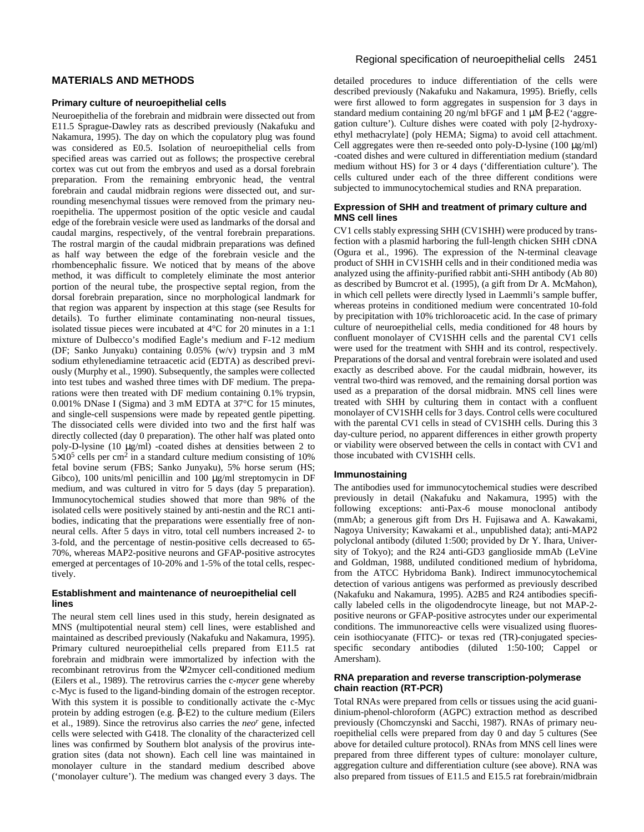# **MATERIALS AND METHODS**

### **Primary culture of neuroepithelial cells**

Neuroepithelia of the forebrain and midbrain were dissected out from E11.5 Sprague-Dawley rats as described previously (Nakafuku and Nakamura, 1995). The day on which the copulatory plug was found was considered as E0.5. Isolation of neuroepithelial cells from specified areas was carried out as follows; the prospective cerebral cortex was cut out from the embryos and used as a dorsal forebrain preparation. From the remaining embryonic head, the ventral forebrain and caudal midbrain regions were dissected out, and surrounding mesenchymal tissues were removed from the primary neuroepithelia. The uppermost position of the optic vesicle and caudal edge of the forebrain vesicle were used as landmarks of the dorsal and caudal margins, respectively, of the ventral forebrain preparations. The rostral margin of the caudal midbrain preparations was defined as half way between the edge of the forebrain vesicle and the rhombencephalic fissure. We noticed that by means of the above method, it was difficult to completely eliminate the most anterior portion of the neural tube, the prospective septal region, from the dorsal forebrain preparation, since no morphological landmark for that region was apparent by inspection at this stage (see Results for details). To further eliminate contaminating non-neural tissues, isolated tissue pieces were incubated at 4°C for 20 minutes in a 1:1 mixture of Dulbecco's modified Eagle's medium and F-12 medium (DF; Sanko Junyaku) containing 0.05% (w/v) trypsin and 3 mM sodium ethylenediamine tetraacetic acid (EDTA) as described previously (Murphy et al., 1990). Subsequently, the samples were collected into test tubes and washed three times with DF medium. The preparations were then treated with DF medium containing 0.1% trypsin, 0.001% DNase I (Sigma) and 3 mM EDTA at 37°C for 15 minutes, and single-cell suspensions were made by repeated gentle pipetting. The dissociated cells were divided into two and the first half was directly collected (day 0 preparation). The other half was plated onto poly-D-lysine (10 µg/ml) -coated dishes at densities between 2 to  $5\times10^5$  cells per cm<sup>2</sup> in a standard culture medium consisting of 10% fetal bovine serum (FBS; Sanko Junyaku), 5% horse serum (HS; Gibco), 100 units/ml penicillin and 100 µg/ml streptomycin in DF medium, and was cultured in vitro for 5 days (day 5 preparation). Immunocytochemical studies showed that more than 98% of the isolated cells were positively stained by anti-nestin and the RC1 antibodies, indicating that the preparations were essentially free of nonneural cells. After 5 days in vitro, total cell numbers increased 2- to 3-fold, and the percentage of nestin-positive cells decreased to 65- 70%, whereas MAP2-positive neurons and GFAP-positive astrocytes emerged at percentages of 10-20% and 1-5% of the total cells, respectively.

#### **Establishment and maintenance of neuroepithelial cell lines**

The neural stem cell lines used in this study, herein designated as MNS (multipotential neural stem) cell lines, were established and maintained as described previously (Nakafuku and Nakamura, 1995). Primary cultured neuroepithelial cells prepared from E11.5 rat forebrain and midbrain were immortalized by infection with the recombinant retrovirus from the Ψ2mycer cell-conditioned medium (Eilers et al., 1989). The retrovirus carries the c-*mycer* gene whereby c-Myc is fused to the ligand-binding domain of the estrogen receptor. With this system it is possible to conditionally activate the c-Myc protein by adding estrogen (e.g. β-E2) to the culture medium (Eilers et al., 1989). Since the retrovirus also carries the *neor* gene, infected cells were selected with G418. The clonality of the characterized cell lines was confirmed by Southern blot analysis of the provirus integration sites (data not shown). Each cell line was maintained in monolayer culture in the standard medium described above ('monolayer culture'). The medium was changed every 3 days. The

### Regional specification of neuroepithelial cells 2451

detailed procedures to induce differentiation of the cells were described previously (Nakafuku and Nakamura, 1995). Briefly, cells were first allowed to form aggregates in suspension for 3 days in standard medium containing 20 ng/ml bFGF and 1 µM β-E2 ('aggregation culture'). Culture dishes were coated with poly [2-hydroxyethyl methacrylate] (poly HEMA; Sigma) to avoid cell attachment. Cell aggregates were then re-seeded onto poly-D-lysine (100 µg/ml) -coated dishes and were cultured in differentiation medium (standard medium without HS) for 3 or 4 days ('differentiation culture'). The cells cultured under each of the three different conditions were subjected to immunocytochemical studies and RNA preparation.

#### **Expression of SHH and treatment of primary culture and MNS cell lines**

CV1 cells stably expressing SHH (CV1SHH) were produced by transfection with a plasmid harboring the full-length chicken SHH cDNA (Ogura et al., 1996). The expression of the N-terminal cleavage product of SHH in CV1SHH cells and in their conditioned media was analyzed using the affinity-purified rabbit anti-SHH antibody (Ab 80) as described by Bumcrot et al. (1995), (a gift from Dr A. McMahon), in which cell pellets were directly lysed in Laemmli's sample buffer, whereas proteins in conditioned medium were concentrated 10-fold by precipitation with 10% trichloroacetic acid. In the case of primary culture of neuroepithelial cells, media conditioned for 48 hours by confluent monolayer of CV1SHH cells and the parental CV1 cells were used for the treatment with SHH and its control, respectively. Preparations of the dorsal and ventral forebrain were isolated and used exactly as described above. For the caudal midbrain, however, its ventral two-third was removed, and the remaining dorsal portion was used as a preparation of the dorsal midbrain. MNS cell lines were treated with SHH by culturing them in contact with a confluent monolayer of CV1SHH cells for 3 days. Control cells were cocultured with the parental CV1 cells in stead of CV1SHH cells. During this 3 day-culture period, no apparent differences in either growth property or viability were observed between the cells in contact with CV1 and those incubated with CV1SHH cells.

#### **Immunostaining**

The antibodies used for immunocytochemical studies were described previously in detail (Nakafuku and Nakamura, 1995) with the following exceptions: anti-Pax-6 mouse monoclonal antibody (mmAb; a generous gift from Drs H. Fujisawa and A. Kawakami, Nagoya University; Kawakami et al., unpublished data); anti-MAP2 polyclonal antibody (diluted 1:500; provided by Dr Y. Ihara, University of Tokyo); and the R24 anti-GD3 ganglioside mmAb (LeVine and Goldman, 1988, undiluted conditioned medium of hybridoma, from the ATCC Hybridoma Bank). Indirect immunocytochemical detection of various antigens was performed as previously described (Nakafuku and Nakamura, 1995). A2B5 and R24 antibodies specifically labeled cells in the oligodendrocyte lineage, but not MAP-2 positive neurons or GFAP-positive astrocytes under our experimental conditions. The immunoreactive cells were visualized using fluorescein isothiocyanate (FITC)- or texas red (TR)-conjugated speciesspecific secondary antibodies (diluted 1:50-100; Cappel or Amersham).

### **RNA preparation and reverse transcription-polymerase chain reaction (RT-PCR)**

Total RNAs were prepared from cells or tissues using the acid guanidinium-phenol-chloroform (AGPC) extraction method as described previously (Chomczynski and Sacchi, 1987). RNAs of primary neuroepithelial cells were prepared from day 0 and day 5 cultures (See above for detailed culture protocol). RNAs from MNS cell lines were prepared from three different types of culture: monolayer culture, aggregation culture and differentiation culture (see above). RNA was also prepared from tissues of E11.5 and E15.5 rat forebrain/midbrain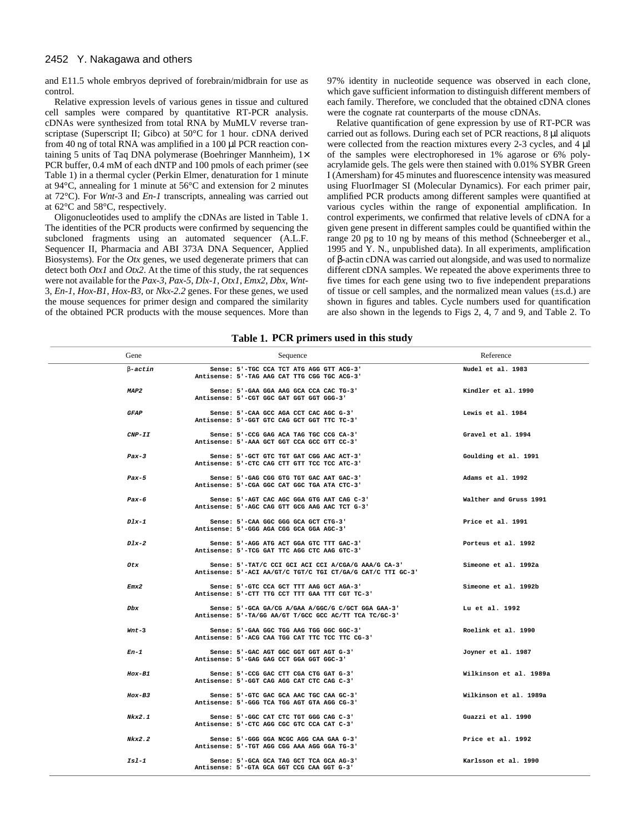#### 2452 Y. Nakagawa and others

and E11.5 whole embryos deprived of forebrain/midbrain for use as control.

Relative expression levels of various genes in tissue and cultured cell samples were compared by quantitative RT-PCR analysis. cDNAs were synthesized from total RNA by MuMLV reverse transcriptase (Superscript II; Gibco) at 50°C for 1 hour. cDNA derived from 40 ng of total RNA was amplified in a 100 µl PCR reaction containing 5 units of Taq DNA polymerase (Boehringer Mannheim), 1× PCR buffer, 0.4 mM of each dNTP and 100 pmols of each primer (see Table 1) in a thermal cycler (Perkin Elmer, denaturation for 1 minute at 94°C, annealing for 1 minute at 56°C and extension for 2 minutes at 72°C). For *Wnt-*3 and *En-1* transcripts, annealing was carried out at 62°C and 58°C, respectively.

Oligonucleotides used to amplify the cDNAs are listed in Table 1. The identities of the PCR products were confirmed by sequencing the subcloned fragments using an automated sequencer (A.L.F. Sequencer II, Pharmacia and ABI 373A DNA Sequencer, Applied Biosystems). For the *Otx* genes, we used degenerate primers that can detect both *Otx1* and *Otx2*. At the time of this study, the rat sequences were not available for the *Pax-3*, *Pax-5*, *Dlx-1*, *Otx1*, *Emx2*, *Dbx*, *Wnt-*3, *En-1*, *Hox-B1*, *Hox-B3,* or *Nkx-2.2* genes. For these genes, we used the mouse sequences for primer design and compared the similarity of the obtained PCR products with the mouse sequences. More than 97% identity in nucleotide sequence was observed in each clone, which gave sufficient information to distinguish different members of each family. Therefore, we concluded that the obtained cDNA clones were the cognate rat counterparts of the mouse cDNAs.

Relative quantification of gene expression by use of RT-PCR was carried out as follows. During each set of PCR reactions, 8 µl aliquots were collected from the reaction mixtures every 2-3 cycles, and 4 µl of the samples were electrophoresed in 1% agarose or 6% polyacrylamide gels. The gels were then stained with 0.01% SYBR Green I (Amersham) for 45 minutes and fluorescence intensity was measured using FluorImager SI (Molecular Dynamics). For each primer pair, amplified PCR products among different samples were quantified at various cycles within the range of exponential amplification. In control experiments, we confirmed that relative levels of cDNA for a given gene present in different samples could be quantified within the range 20 pg to 10 ng by means of this method (Schneeberger et al., 1995 and Y. N., unpublished data). In all experiments, amplification of β-actin cDNA was carried out alongside, and was used to normalize different cDNA samples. We repeated the above experiments three to five times for each gene using two to five independent preparations of tissue or cell samples, and the normalized mean values (±s.d.) are shown in figures and tables. Cycle numbers used for quantification are also shown in the legends to Figs 2, 4, 7 and 9, and Table 2. To

**Table 1. PCR primers used in this study**

| Gene              | Sequence                                                                                                           | Reference              |
|-------------------|--------------------------------------------------------------------------------------------------------------------|------------------------|
| $\beta$ -actin    | Sense: 5'-TGC CCA TCT ATG AGG GTT ACG-3'<br>Antisense: 5'-TAG AAG CAT TTG CGG TGC ACG-3'                           | Nudel et al. 1983      |
| MAP2              | Sense: 5'-GAA GGA AAG GCA CCA CAC TG-3'<br>Antisense: 5'-CGT GGC GAT GGT GGT GGG-3'                                | Kindler et al. 1990    |
| <b>GFAP</b>       | Sense: 5'-CAA GCC AGA CCT CAC AGC G-3'<br>Antisense: 5'-GGT GTC CAG GCT GGT TTC TC-3'                              | Lewis et al. 1984      |
| $\textit{CNP-II}$ | Sense: 5'-CCG GAG ACA TAG TGC CCG CA-3'<br>Antisense: 5'-AAA GCT GGT CCA GCC GTT CC-3'                             | Gravel et al. 1994     |
| $Pax-3$           | Sense: 5'-GCT GTC TGT GAT CGG AAC ACT-3'<br>Antisense: 5'-CTC CAG CTT GTT TCC TCC ATC-3'                           | Goulding et al. 1991   |
| $Pax-5$           | Sense: 5'-GAG CGG GTG TGT GAC AAT GAC-3'<br>Antisense: 5'-CGA GGC CAT GGC TGA ATA CTC-3'                           | Adams et al. 1992      |
| Pax-6             | Sense: 5'-AGT CAC AGC GGA GTG AAT CAG C-3'<br>Antisense: 5'-AGC CAG GTT GCG AAG AAC TCT G-3'                       | Walther and Gruss 1991 |
| $D1x-1$           | Sense: 5'-CAA GGC GGG GCA GCT CTG-3'<br>Antisense: 5'-GGG AGA CGG GCA GGA AGC-3'                                   | Price et al. 1991      |
| $D1x-2$           | Sense: 5'-AGG ATG ACT GGA GTC TTT GAC-3'<br>Antisense: 5'-TCG GAT TTC AGG CTC AAG GTC-3'                           | Porteus et al. 1992    |
| Otx               | Sense: 5'-TAT/C CCI GCI ACI CCI A/CGA/G AAA/G CA-3'<br>Antisense: 5'-ACI AA/GT/C TGT/C TGI CT/GA/G CAT/C TTI GC-3' | Simeone et al. 1992a   |
| Emx2              | Sense: 5'-GTC CCA GCT TTT AAG GCT AGA-3'<br>Antisense: 5'-CTT TTG CCT TTT GAA TTT CGT TC-3'                        | Simeone et al. 1992b   |
| Dbx               | Sense: 5'-GCA GA/CG A/GAA A/GGC/G C/GCT GGA GAA-3'<br>Antisense: 5'-TA/GG AA/GT T/GCC GCC AC/TT TCA TC/GC-3'       | Lu et al. 1992         |
| $Wnt-3$           | Sense: 5'-GAA GGC TGG AAG TGG GGC GGC-3'<br>Antisense: 5'-ACG CAA TGG CAT TTC TCC TTC CG-3'                        | Roelink et al. 1990    |
| En-1              | Sense: 5'-GAC AGT GGC GGT GGT AGT G-3'<br>Antisense: 5'-GAG GAG CCT GGA GGT GGC-3'                                 | Joyner et al. 1987     |
| $Hox-B1$          | Sense: 5'-CCG GAC CTT CGA CTG GAT G-3'<br>Antisense: 5'-GGT CAG AGG CAT CTC CAG C-3'                               | Wilkinson et al. 1989a |
| Hox-B3            | Sense: 5'-GTC GAC GCA AAC TGC CAA GC-3'<br>Antisense: 5'-GGG TCA TGG AGT GTA AGG CG-3'                             | Wilkinson et al. 1989a |
| Nkx2.1            | Sense: 5'-GGC CAT CTC TGT GGG CAG C-3'<br>Antisense: 5'-CTC AGG CGC GTC CCA CAT C-3'                               | Guazzi et al. 1990     |
| Nkx2.2            | Sense: 5'-GGG GGA NCGC AGG CAA GAA G-3'<br>Antisense: 5'-TGT AGG CGG AAA AGG GGA TG-3'                             | Price et al. 1992      |
| $IS1-1$           | Sense: 5'-GCA GCA TAG GCT TCA GCA AG-3'<br>Antisense: 5'-GTA GCA GGT CCG CAA GGT G-3'                              | Karlsson et al. 1990   |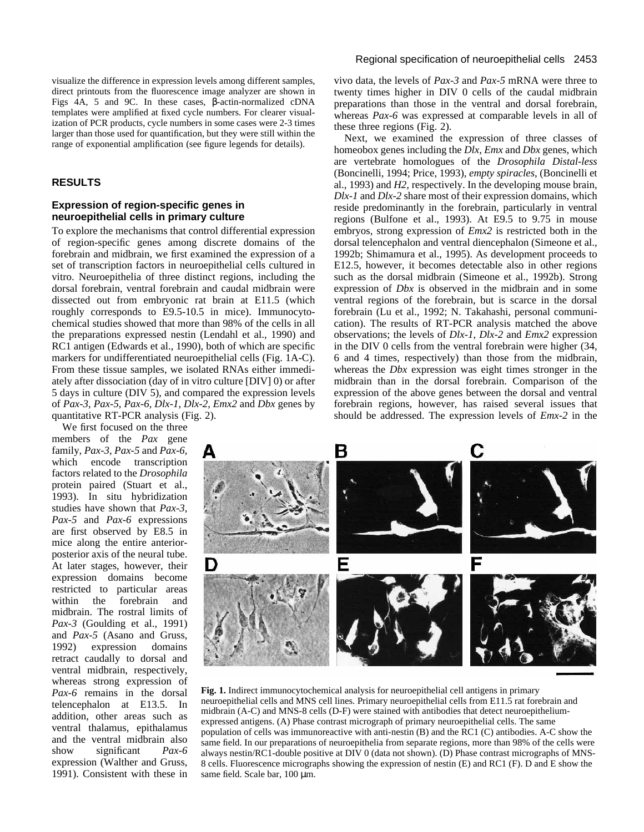visualize the difference in expression levels among different samples, direct printouts from the fluorescence image analyzer are shown in Figs 4A, 5 and 9C. In these cases, β-actin-normalized cDNA templates were amplified at fixed cycle numbers. For clearer visualization of PCR products, cycle numbers in some cases were 2-3 times larger than those used for quantification, but they were still within the range of exponential amplification (see figure legends for details).

### **RESULTS**

# **Expression of region-specific genes in neuroepithelial cells in primary culture**

To explore the mechanisms that control differential expression of region-specific genes among discrete domains of the forebrain and midbrain, we first examined the expression of a set of transcription factors in neuroepithelial cells cultured in vitro. Neuroepithelia of three distinct regions, including the dorsal forebrain, ventral forebrain and caudal midbrain were dissected out from embryonic rat brain at E11.5 (which roughly corresponds to E9.5-10.5 in mice). Immunocytochemical studies showed that more than 98% of the cells in all the preparations expressed nestin (Lendahl et al., 1990) and RC1 antigen (Edwards et al., 1990), both of which are specific markers for undifferentiated neuroepithelial cells (Fig. 1A-C). From these tissue samples, we isolated RNAs either immediately after dissociation (day of in vitro culture [DIV] 0) or after 5 days in culture (DIV 5), and compared the expression levels of *Pax-3*, *Pax-5*, *Pax-6*, *Dlx-1*, *Dlx-2*, *Emx2* and *Dbx* genes by quantitative RT-PCR analysis (Fig. 2).

We first focused on the three

members of the *Pax* gene family, *Pax-3*, *Pax-5* and *Pax-6*, which encode transcription factors related to the *Drosophila* protein paired (Stuart et al., 1993). In situ hybridization studies have shown that *Pax-3*, *Pax-5* and *Pax-6* expressions are first observed by E8.5 in mice along the entire anteriorposterior axis of the neural tube. At later stages, however, their expression domains become restricted to particular areas within the forebrain and midbrain. The rostral limits of *Pax-3* (Goulding et al., 1991) and *Pax-5* (Asano and Gruss, 1992) expression domains retract caudally to dorsal and ventral midbrain, respectively, whereas strong expression of *Pax-6* remains in the dorsal telencephalon at E13.5. In addition, other areas such as ventral thalamus, epithalamus and the ventral midbrain also show significant *Pax-6* expression (Walther and Gruss, 1991). Consistent with these in vivo data, the levels of *Pax-3* and *Pax-5* mRNA were three to twenty times higher in DIV 0 cells of the caudal midbrain preparations than those in the ventral and dorsal forebrain, whereas *Pax-6* was expressed at comparable levels in all of these three regions (Fig. 2).

Next, we examined the expression of three classes of homeobox genes including the *Dlx*, *Emx* and *Dbx* genes, which are vertebrate homologues of the *Drosophila Distal-less* (Boncinelli, 1994; Price, 1993), *empty spiracles*, (Boncinelli et al., 1993) and *H2*, respectively. In the developing mouse brain, *Dlx-1* and *Dlx-2* share most of their expression domains, which reside predominantly in the forebrain, particularly in ventral regions (Bulfone et al., 1993). At E9.5 to 9.75 in mouse embryos, strong expression of *Emx2* is restricted both in the dorsal telencephalon and ventral diencephalon (Simeone et al., 1992b; Shimamura et al., 1995). As development proceeds to E12.5, however, it becomes detectable also in other regions such as the dorsal midbrain (Simeone et al., 1992b). Strong expression of *Dbx* is observed in the midbrain and in some ventral regions of the forebrain, but is scarce in the dorsal forebrain (Lu et al., 1992; N. Takahashi, personal communication). The results of RT-PCR analysis matched the above observations; the levels of *Dlx-1*, *Dlx-2* and *Emx2* expression in the DIV 0 cells from the ventral forebrain were higher (34, 6 and 4 times, respectively) than those from the midbrain, whereas the *Dbx* expression was eight times stronger in the midbrain than in the dorsal forebrain. Comparison of the expression of the above genes between the dorsal and ventral forebrain regions, however, has raised several issues that should be addressed. The expression levels of *Emx-2* in the



**Fig. 1.** Indirect immunocytochemical analysis for neuroepithelial cell antigens in primary neuroepithelial cells and MNS cell lines. Primary neuroepithelial cells from E11.5 rat forebrain and midbrain (A-C) and MNS-8 cells (D-F) were stained with antibodies that detect neuroepitheliumexpressed antigens. (A) Phase contrast micrograph of primary neuroepithelial cells. The same population of cells was immunoreactive with anti-nestin (B) and the RC1 (C) antibodies. A-C show the same field. In our preparations of neuroepithelia from separate regions, more than 98% of the cells were always nestin/RC1-double positive at DIV 0 (data not shown). (D) Phase contrast micrographs of MNS-8 cells. Fluorescence micrographs showing the expression of nestin (E) and RC1 (F). D and E show the same field. Scale bar, 100  $\mu$ m.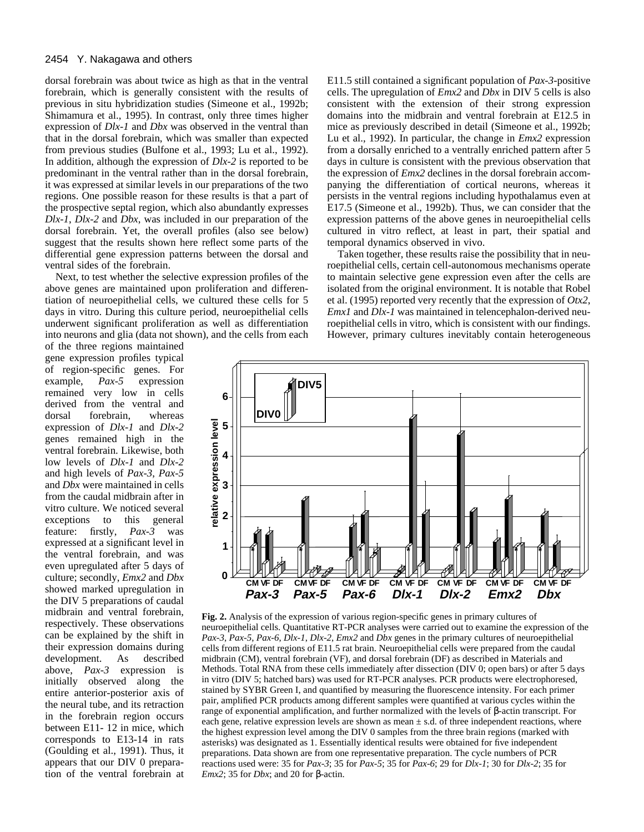#### 2454 Y. Nakagawa and others

dorsal forebrain was about twice as high as that in the ventral forebrain, which is generally consistent with the results of previous in situ hybridization studies (Simeone et al., 1992b; Shimamura et al., 1995). In contrast, only three times higher expression of *Dlx-1* and *Dbx* was observed in the ventral than that in the dorsal forebrain, which was smaller than expected from previous studies (Bulfone et al., 1993; Lu et al., 1992). In addition, although the expression of *Dlx-2* is reported to be predominant in the ventral rather than in the dorsal forebrain, it was expressed at similar levels in our preparations of the two regions. One possible reason for these results is that a part of the prospective septal region, which also abundantly expresses *Dlx-1*, *Dlx-2* and *Dbx*, was included in our preparation of the dorsal forebrain. Yet, the overall profiles (also see below) suggest that the results shown here reflect some parts of the differential gene expression patterns between the dorsal and ventral sides of the forebrain.

Next, to test whether the selective expression profiles of the above genes are maintained upon proliferation and differentiation of neuroepithelial cells, we cultured these cells for 5 days in vitro. During this culture period, neuroepithelial cells underwent significant proliferation as well as differentiation into neurons and glia (data not shown), and the cells from each

of the three regions maintained gene expression profiles typical of region-specific genes. For<br>example,  $Pax-5$  expression example, *Pax-5* expression remained very low in cells derived from the ventral and dorsal forebrain, whereas expression of *Dlx-1* and *Dlx-2* genes remained high in the ventral forebrain. Likewise, both low levels of *Dlx-1* and *Dlx-2* and high levels of *Pax-3*, *Pax-5* and *Dbx* were maintained in cells from the caudal midbrain after in vitro culture. We noticed several exceptions to this general feature: firstly, *Pax-3* was expressed at a significant level in the ventral forebrain, and was even upregulated after 5 days of culture; secondly, *Emx2* and *Dbx* showed marked upregulation in the DIV 5 preparations of caudal midbrain and ventral forebrain, respectively. These observations can be explained by the shift in their expression domains during<br>development. As described development. As described above, *Pax-3* expression is initially observed along the entire anterior-posterior axis of the neural tube, and its retraction in the forebrain region occurs between E11- 12 in mice, which corresponds to E13-14 in rats (Goulding et al., 1991). Thus, it appears that our DIV 0 preparation of the ventral forebrain at

E11.5 still contained a significant population of *Pax-3*-positive cells. The upregulation of *Emx2* and *Dbx* in DIV 5 cells is also consistent with the extension of their strong expression domains into the midbrain and ventral forebrain at E12.5 in mice as previously described in detail (Simeone et al., 1992b; Lu et al., 1992). In particular, the change in *Emx2* expression from a dorsally enriched to a ventrally enriched pattern after 5 days in culture is consistent with the previous observation that the expression of *Emx2* declines in the dorsal forebrain accompanying the differentiation of cortical neurons, whereas it persists in the ventral regions including hypothalamus even at E17.5 (Simeone et al., 1992b). Thus, we can consider that the expression patterns of the above genes in neuroepithelial cells cultured in vitro reflect, at least in part, their spatial and temporal dynamics observed in vivo.

Taken together, these results raise the possibility that in neuroepithelial cells, certain cell-autonomous mechanisms operate to maintain selective gene expression even after the cells are isolated from the original environment. It is notable that Robel et al. (1995) reported very recently that the expression of *Otx2*, *Emx1* and *Dlx-1* was maintained in telencephalon-derived neuroepithelial cells in vitro, which is consistent with our findings. However, primary cultures inevitably contain heterogeneous



**Fig. 2.** Analysis of the expression of various region-specific genes in primary cultures of neuroepithelial cells. Quantitative RT-PCR analyses were carried out to examine the expression of the *Pax-3*, *Pax-5*, *Pax-6*, *Dlx-1*, *Dlx-2*, *Emx2* and *Dbx* genes in the primary cultures of neuroepithelial cells from different regions of E11.5 rat brain. Neuroepithelial cells were prepared from the caudal midbrain (CM), ventral forebrain (VF), and dorsal forebrain (DF) as described in Materials and Methods. Total RNA from these cells immediately after dissection (DIV 0; open bars) or after 5 days in vitro (DIV 5; hatched bars) was used for RT-PCR analyses. PCR products were electrophoresed, stained by SYBR Green I, and quantified by measuring the fluorescence intensity. For each primer pair, amplified PCR products among different samples were quantified at various cycles within the range of exponential amplification, and further normalized with the levels of β-actin transcript. For each gene, relative expression levels are shown as mean  $\pm$  s.d. of three independent reactions, where the highest expression level among the DIV 0 samples from the three brain regions (marked with asterisks) was designated as 1. Essentially identical results were obtained for five independent preparations. Data shown are from one representative preparation. The cycle numbers of PCR reactions used were: 35 for *Pax-3*; 35 for *Pax-5*; 35 for *Pax-6*; 29 for *Dlx-1*; 30 for *Dlx-2*; 35 for *Emx2*; 35 for *Dbx*; and 20 for β-actin.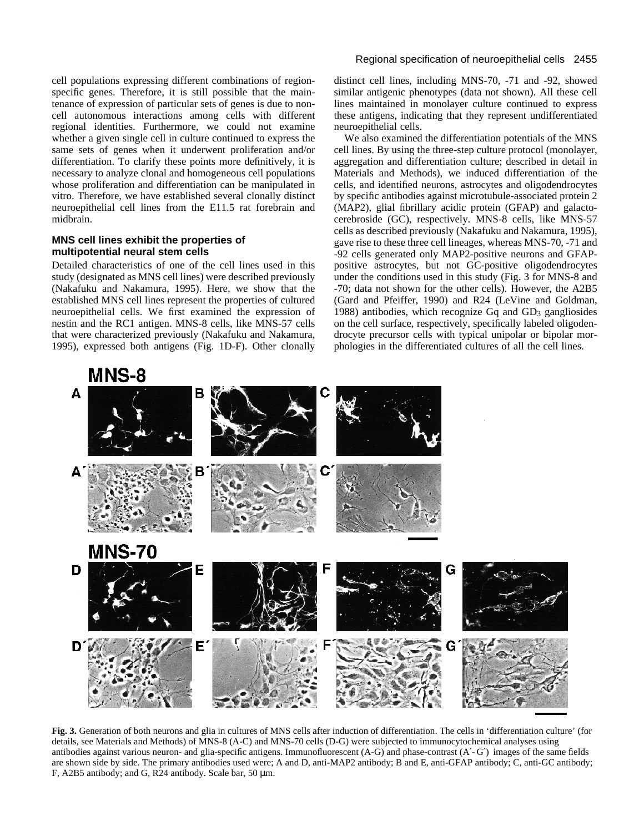cell populations expressing different combinations of regionspecific genes. Therefore, it is still possible that the maintenance of expression of particular sets of genes is due to noncell autonomous interactions among cells with different regional identities. Furthermore, we could not examine whether a given single cell in culture continued to express the same sets of genes when it underwent proliferation and/or differentiation. To clarify these points more definitively, it is necessary to analyze clonal and homogeneous cell populations whose proliferation and differentiation can be manipulated in vitro. Therefore, we have established several clonally distinct neuroepithelial cell lines from the E11.5 rat forebrain and midbrain.

# **MNS cell lines exhibit the properties of multipotential neural stem cells**

Detailed characteristics of one of the cell lines used in this study (designated as MNS cell lines) were described previously (Nakafuku and Nakamura, 1995). Here, we show that the established MNS cell lines represent the properties of cultured neuroepithelial cells. We first examined the expression of nestin and the RC1 antigen. MNS-8 cells, like MNS-57 cells that were characterized previously (Nakafuku and Nakamura, 1995), expressed both antigens (Fig. 1D-F). Other clonally

## Regional specification of neuroepithelial cells 2455

distinct cell lines, including MNS-70, -71 and -92, showed similar antigenic phenotypes (data not shown). All these cell lines maintained in monolayer culture continued to express these antigens, indicating that they represent undifferentiated neuroepithelial cells.

We also examined the differentiation potentials of the MNS cell lines. By using the three-step culture protocol (monolayer, aggregation and differentiation culture; described in detail in Materials and Methods), we induced differentiation of the cells, and identified neurons, astrocytes and oligodendrocytes by specific antibodies against microtubule-associated protein 2 (MAP2), glial fibrillary acidic protein (GFAP) and galactocerebroside (GC), respectively. MNS-8 cells, like MNS-57 cells as described previously (Nakafuku and Nakamura, 1995), gave rise to these three cell lineages, whereas MNS-70, -71 and -92 cells generated only MAP2-positive neurons and GFAPpositive astrocytes, but not GC-positive oligodendrocytes under the conditions used in this study (Fig. 3 for MNS-8 and -70; data not shown for the other cells). However, the A2B5 (Gard and Pfeiffer, 1990) and R24 (LeVine and Goldman, 1988) antibodies, which recognize Gq and GD3 gangliosides on the cell surface, respectively, specifically labeled oligodendrocyte precursor cells with typical unipolar or bipolar morphologies in the differentiated cultures of all the cell lines.



**Fig. 3.** Generation of both neurons and glia in cultures of MNS cells after induction of differentiation. The cells in 'differentiation culture' (for details, see Materials and Methods) of MNS-8 (A-C) and MNS-70 cells (D-G) were subjected to immunocytochemical analyses using antibodies against various neuron- and glia-specific antigens. Immunofluorescent (A-G) and phase-contrast (A′- G′) images of the same fields are shown side by side. The primary antibodies used were; A and D, anti-MAP2 antibody; B and E, anti-GFAP antibody; C, anti-GC antibody; F, A2B5 antibody; and G, R24 antibody. Scale bar, 50 µm.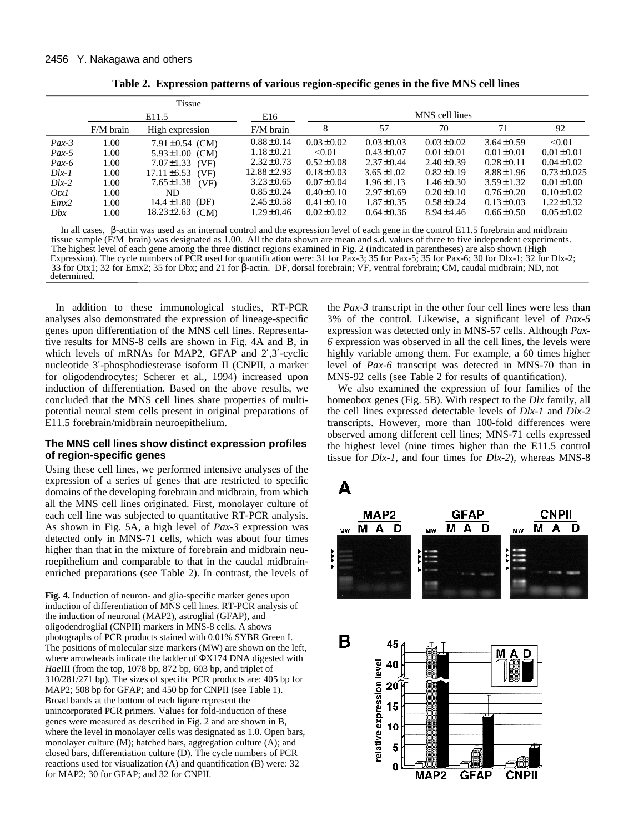|            | Tissue            |                          |                  |                 |                 |                 |                 |                  |  |
|------------|-------------------|--------------------------|------------------|-----------------|-----------------|-----------------|-----------------|------------------|--|
|            | E <sub>11.5</sub> |                          | E16              | MNS cell lines  |                 |                 |                 |                  |  |
|            | $F/M$ brain       | High expression          | $F/M$ brain      | 8               | 57              | 70              | 71              | 92               |  |
| $Pax-3$    | 1.00              | $7.91 \pm 0.54$ (CM)     | $0.88 \pm 0.14$  | $0.03 \pm 0.02$ | $0.03 \pm 0.03$ | $0.03 \pm 0.02$ | $3.64 \pm 0.59$ | < 0.01           |  |
| $Pax-5$    | 1.00              | $5.93 \pm 1.00$<br>(CM)  | $1.18 \pm 0.21$  | < 0.01          | $0.43 \pm 0.07$ | $0.01 \pm 0.01$ | $0.01 \pm 0.01$ | $0.01 \pm 0.01$  |  |
| $Pax-6$    | 1.00              | $7.07 \pm 1.33$<br>(VF)  | $2.32 \pm 0.73$  | $0.52 \pm 0.08$ | $2.37 \pm 0.44$ | $2.40 \pm 0.39$ | $0.28 \pm 0.11$ | $0.04 \pm 0.02$  |  |
| $D\{lx-1}$ | 1.00              | $17.11 \pm 6.53$<br>(VF) | $12.88 \pm 2.93$ | $0.18 \pm 0.03$ | $3.65 \pm 1.02$ | $0.82 \pm 0.19$ | $8.88 \pm 1.96$ | $0.73 \pm 0.025$ |  |
| $Dlx-2$    | 1.00              | $7.65 \pm 1.38$<br>(VF)  | $3.23 \pm 0.65$  | $0.07 \pm 0.04$ | $1.96 \pm 1.13$ | $1.46 \pm 0.30$ | $3.59 \pm 1.32$ | $0.01 \pm 0.00$  |  |
| OtxI       | 1.00              | ND.                      | $0.85 \pm 0.24$  | $0.40 \pm 0.10$ | $2.97 \pm 0.69$ | $0.20 \pm 0.10$ | $0.76 \pm 0.20$ | $0.10 \pm 0.02$  |  |
| Emx2       | 1.00              | $14.4 \pm 1.80$ (DF)     | $2.45 \pm 0.58$  | $0.41 \pm 0.10$ | $1.87 \pm 0.35$ | $0.58 \pm 0.24$ | $0.13 \pm 0.03$ | $1.22 \pm 0.32$  |  |
| Dbx        | 1.00              | $18.23 \pm 2.63$<br>(CM) | $1.29 \pm 0.46$  | $0.02 \pm 0.02$ | $0.64 \pm 0.36$ | $8.94 \pm 4.46$ | $0.66 \pm 0.50$ | $0.05 \pm 0.02$  |  |

**Table 2. Expression patterns of various region-specific genes in the five MNS cell lines** 

In all cases, β-actin was used as an internal control and the expression level of each gene in the control E11.5 forebrain and midbrain tissue sample (F/M brain) was designated as 1.00. All the data shown are mean and s.d. values of three to five independent experiments. The highest level of each gene among the three distinct regions examined in Fig. 2 (indicated in parentheses) are also shown (High Expression). The cycle numbers of PCR used for quantification were: 31 for Pax-3; 35 for Pax-5; 35 for Pax-6; 30 for Dlx-1; 32 for Dlx-2;  $\alpha$  and  $\alpha$  and  $\alpha$  and  $\alpha$  and  $\alpha$  and  $\alpha$  and  $\alpha$  and  $\alpha$  and  $\alpha$  and  $\alpha$  and  $\alpha$  and  $\alpha$  and  $\alpha$  and  $\alpha$  and  $\alpha$  and  $\alpha$  and  $\alpha$  and  $\alpha$  and  $\alpha$  and  $\alpha$  and  $\alpha$  and  $\alpha$  and  $\alpha$  and  $\alpha$  and  $\alpha$  33 for Otx1; 32 for Emx2; 35 for Dbx; and 21 for β-actin. DF, dorsal forebrain; VF, ventral forebrain; CM, caudal midbrain; ND, not determined.

In addition to these immunological studies, RT-PCR analyses also demonstrated the expression of lineage-specific genes upon differentiation of the MNS cell lines. Representative results for MNS-8 cells are shown in Fig. 4A and B, in which levels of mRNAs for MAP2, GFAP and 2',3'-cyclic nucleotide 3′-phosphodiesterase isoform II (CNPII, a marker for oligodendrocytes; Scherer et al., 1994) increased upon induction of differentiation. Based on the above results, we concluded that the MNS cell lines share properties of multipotential neural stem cells present in original preparations of E11.5 forebrain/midbrain neuroepithelium.

# **The MNS cell lines show distinct expression profiles of region-specific genes**

Using these cell lines, we performed intensive analyses of the expression of a series of genes that are restricted to specific domains of the developing forebrain and midbrain, from which all the MNS cell lines originated. First, monolayer culture of each cell line was subjected to quantitative RT-PCR analysis. As shown in Fig. 5A, a high level of *Pax-3* expression was detected only in MNS-71 cells, which was about four times higher than that in the mixture of forebrain and midbrain neuroepithelium and comparable to that in the caudal midbrainenriched preparations (see Table 2). In contrast, the levels of

**Fig. 4.** Induction of neuron- and glia-specific marker genes upon induction of differentiation of MNS cell lines. RT-PCR analysis of the induction of neuronal (MAP2), astroglial (GFAP), and oligodendroglial (CNPII) markers in MNS-8 cells. A shows photographs of PCR products stained with 0.01% SYBR Green I. The positions of molecular size markers (MW) are shown on the left, where arrowheads indicate the ladder of ΦX174 DNA digested with *Hae*III (from the top, 1078 bp, 872 bp, 603 bp, and triplet of 310/281/271 bp). The sizes of specific PCR products are: 405 bp for MAP2; 508 bp for GFAP; and 450 bp for CNPII (see Table 1). Broad bands at the bottom of each figure represent the unincorporated PCR primers. Values for fold-induction of these genes were measured as described in Fig. 2 and are shown in B, where the level in monolayer cells was designated as 1.0. Open bars, monolayer culture (M); hatched bars, aggregation culture (A); and closed bars, differentiation culture (D). The cycle numbers of PCR reactions used for visualization (A) and quantification (B) were: 32 for MAP2; 30 for GFAP; and 32 for CNPII.

the *Pax-3* transcript in the other four cell lines were less than 3% of the control. Likewise, a significant level of *Pax-5* expression was detected only in MNS-57 cells. Although *Pax-6* expression was observed in all the cell lines, the levels were highly variable among them. For example, a 60 times higher level of *Pax-6* transcript was detected in MNS-70 than in MNS-92 cells (see Table 2 for results of quantification).

We also examined the expression of four families of the homeobox genes (Fig. 5B). With respect to the *Dlx* family, all the cell lines expressed detectable levels of *Dlx-1* and *Dlx-2* transcripts. However, more than 100-fold differences were observed among different cell lines; MNS-71 cells expressed the highest level (nine times higher than the E11.5 control tissue for *Dlx-1*, and four times for *Dlx-2*), whereas MNS-8



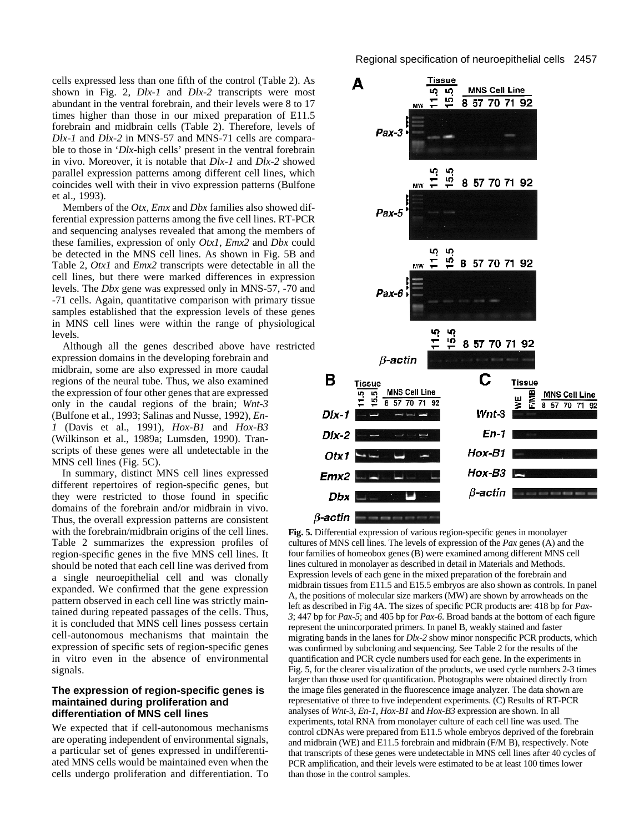cells expressed less than one fifth of the control (Table 2). As shown in Fig. 2, *Dlx-1* and *Dlx-2* transcripts were most abundant in the ventral forebrain, and their levels were 8 to 17 times higher than those in our mixed preparation of E11.5 forebrain and midbrain cells (Table 2). Therefore, levels of *Dlx-1* and *Dlx-2* in MNS-57 and MNS-71 cells are comparable to those in '*Dlx*-high cells' present in the ventral forebrain in vivo. Moreover, it is notable that *Dlx-1* and *Dlx-2* showed parallel expression patterns among different cell lines, which coincides well with their in vivo expression patterns (Bulfone et al., 1993).

Members of the *Otx*, *Emx* and *Dbx* families also showed differential expression patterns among the five cell lines. RT-PCR and sequencing analyses revealed that among the members of these families, expression of only *Otx1*, *Emx2* and *Dbx* could be detected in the MNS cell lines. As shown in Fig. 5B and Table 2, *Otx1* and *Emx2* transcripts were detectable in all the cell lines, but there were marked differences in expression levels. The *Dbx* gene was expressed only in MNS-57, -70 and -71 cells. Again, quantitative comparison with primary tissue samples established that the expression levels of these genes in MNS cell lines were within the range of physiological levels.

Although all the genes described above have restricted

expression domains in the developing forebrain and midbrain, some are also expressed in more caudal regions of the neural tube. Thus, we also examined the expression of four other genes that are expressed only in the caudal regions of the brain; *Wnt-3* (Bulfone et al., 1993; Salinas and Nusse, 1992), *En-1* (Davis et al., 1991), *Hox-B1* and *Hox-B3* (Wilkinson et al., 1989a; Lumsden, 1990). Transcripts of these genes were all undetectable in the MNS cell lines (Fig. 5C).

In summary, distinct MNS cell lines expressed different repertoires of region-specific genes, but they were restricted to those found in specific domains of the forebrain and/or midbrain in vivo. Thus, the overall expression patterns are consistent with the forebrain/midbrain origins of the cell lines. Table 2 summarizes the expression profiles of region-specific genes in the five MNS cell lines. It should be noted that each cell line was derived from a single neuroepithelial cell and was clonally expanded. We confirmed that the gene expression pattern observed in each cell line was strictly maintained during repeated passages of the cells. Thus, it is concluded that MNS cell lines possess certain cell-autonomous mechanisms that maintain the expression of specific sets of region-specific genes in vitro even in the absence of environmental signals.

### **The expression of region-specific genes is maintained during proliferation and differentiation of MNS cell lines**

We expected that if cell-autonomous mechanisms are operating independent of environmental signals, a particular set of genes expressed in undifferentiated MNS cells would be maintained even when the cells undergo proliferation and differentiation. To



**Fig. 5.** Differential expression of various region-specific genes in monolayer cultures of MNS cell lines. The levels of expression of the *Pax* genes (A) and the four families of homeobox genes (B) were examined among different MNS cell lines cultured in monolayer as described in detail in Materials and Methods. Expression levels of each gene in the mixed preparation of the forebrain and midbrain tissues from E11.5 and E15.5 embryos are also shown as controls. In panel A, the positions of molecular size markers (MW) are shown by arrowheads on the left as described in Fig 4A. The sizes of specific PCR products are: 418 bp for *Pax-3*; 447 bp for *Pax-5*; and 405 bp for *Pax-6*. Broad bands at the bottom of each figure represent the unincorporated primers. In panel B, weakly stained and faster migrating bands in the lanes for *Dlx-2* show minor nonspecific PCR products, which was confirmed by subcloning and sequencing. See Table 2 for the results of the quantification and PCR cycle numbers used for each gene. In the experiments in Fig. 5, for the clearer visualization of the products, we used cycle numbers 2-3 times larger than those used for quantification. Photographs were obtained directly from the image files generated in the fluorescence image analyzer. The data shown are representative of three to five independent experiments. (C) Results of RT-PCR analyses of *Wnt-*3, *En-1*, *Hox-B1* and *Hox-B3* expression are shown. In all experiments, total RNA from monolayer culture of each cell line was used. The control cDNAs were prepared from E11.5 whole embryos deprived of the forebrain and midbrain (WE) and E11.5 forebrain and midbrain (F/M B), respectively. Note that transcripts of these genes were undetectable in MNS cell lines after 40 cycles of PCR amplification, and their levels were estimated to be at least 100 times lower than those in the control samples.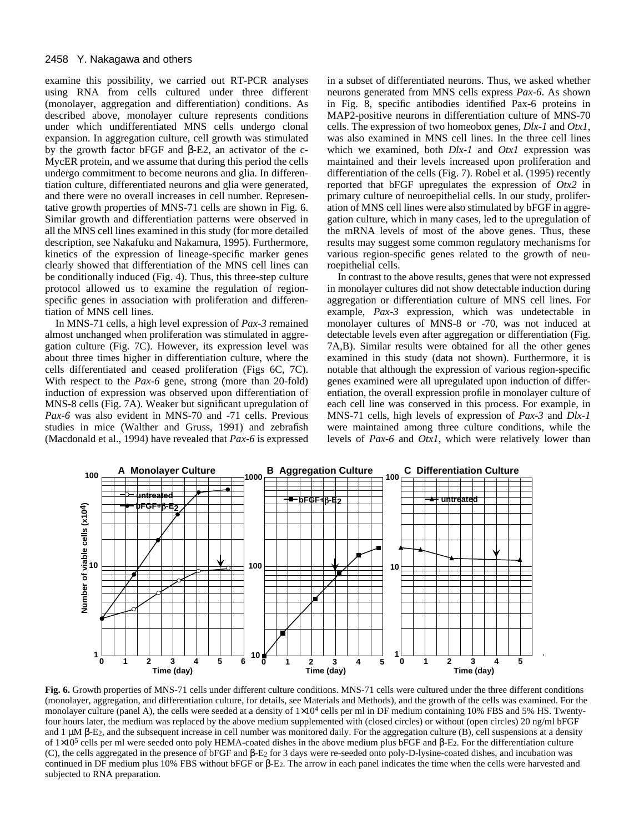examine this possibility, we carried out RT-PCR analyses using RNA from cells cultured under three different (monolayer, aggregation and differentiation) conditions. As described above, monolayer culture represents conditions under which undifferentiated MNS cells undergo clonal expansion. In aggregation culture, cell growth was stimulated by the growth factor bFGF and β-E2, an activator of the c-MycER protein, and we assume that during this period the cells undergo commitment to become neurons and glia. In differentiation culture, differentiated neurons and glia were generated, and there were no overall increases in cell number. Representative growth properties of MNS-71 cells are shown in Fig. 6. Similar growth and differentiation patterns were observed in all the MNS cell lines examined in this study (for more detailed description, see Nakafuku and Nakamura, 1995). Furthermore, kinetics of the expression of lineage-specific marker genes clearly showed that differentiation of the MNS cell lines can be conditionally induced (Fig. 4). Thus, this three-step culture protocol allowed us to examine the regulation of regionspecific genes in association with proliferation and differentiation of MNS cell lines.

In MNS-71 cells, a high level expression of *Pax-3* remained almost unchanged when proliferation was stimulated in aggregation culture (Fig. 7C). However, its expression level was about three times higher in differentiation culture, where the cells differentiated and ceased proliferation (Figs 6C, 7C). With respect to the *Pax-6* gene, strong (more than 20-fold) induction of expression was observed upon differentiation of MNS-8 cells (Fig. 7A). Weaker but significant upregulation of *Pax-6* was also evident in MNS-70 and -71 cells. Previous studies in mice (Walther and Gruss, 1991) and zebrafish (Macdonald et al., 1994) have revealed that *Pax-6* is expressed in a subset of differentiated neurons. Thus, we asked whether neurons generated from MNS cells express *Pax-6*. As shown in Fig. 8, specific antibodies identified Pax-6 proteins in MAP2-positive neurons in differentiation culture of MNS-70 cells. The expression of two homeobox genes, *Dlx-1* and *Otx1*, was also examined in MNS cell lines. In the three cell lines which we examined, both *Dlx-1* and *Otx1* expression was maintained and their levels increased upon proliferation and differentiation of the cells (Fig. 7). Robel et al. (1995) recently reported that bFGF upregulates the expression of *Otx2* in primary culture of neuroepithelial cells. In our study, proliferation of MNS cell lines were also stimulated by bFGF in aggregation culture, which in many cases, led to the upregulation of the mRNA levels of most of the above genes. Thus, these results may suggest some common regulatory mechanisms for various region-specific genes related to the growth of neuroepithelial cells.

In contrast to the above results, genes that were not expressed in monolayer cultures did not show detectable induction during aggregation or differentiation culture of MNS cell lines. For example, *Pax-3* expression, which was undetectable in monolayer cultures of MNS-8 or -70, was not induced at detectable levels even after aggregation or differentiation (Fig. 7A,B). Similar results were obtained for all the other genes examined in this study (data not shown). Furthermore, it is notable that although the expression of various region-specific genes examined were all upregulated upon induction of differentiation, the overall expression profile in monolayer culture of each cell line was conserved in this process. For example, in MNS-71 cells, high levels of expression of *Pax-3* and *Dlx-1* were maintained among three culture conditions, while the levels of *Pax-6* and *Otx1*, which were relatively lower than



**Fig. 6.** Growth properties of MNS-71 cells under different culture conditions. MNS-71 cells were cultured under the three different conditions (monolayer, aggregation, and differentiation culture, for details, see Materials and Methods), and the growth of the cells was examined. For the monolayer culture (panel A), the cells were seeded at a density of  $1\times10^4$  cells per ml in DF medium containing 10% FBS and 5% HS. Twentyfour hours later, the medium was replaced by the above medium supplemented with (closed circles) or without (open circles) 20 ng/ml bFGF and 1  $\mu$ M β-E<sub>2</sub>, and the subsequent increase in cell number was monitored daily. For the aggregation culture (B), cell suspensions at a density of  $1\times10^5$  cells per ml were seeded onto poly HEMA-coated dishes in the above medium plus bFGF and β-E<sub>2</sub>. For the differentiation culture (C), the cells aggregated in the presence of bFGF and β-E2 for 3 days were re-seeded onto poly-D-lysine-coated dishes, and incubation was continued in DF medium plus 10% FBS without bFGF or β-E2. The arrow in each panel indicates the time when the cells were harvested and subjected to RNA preparation.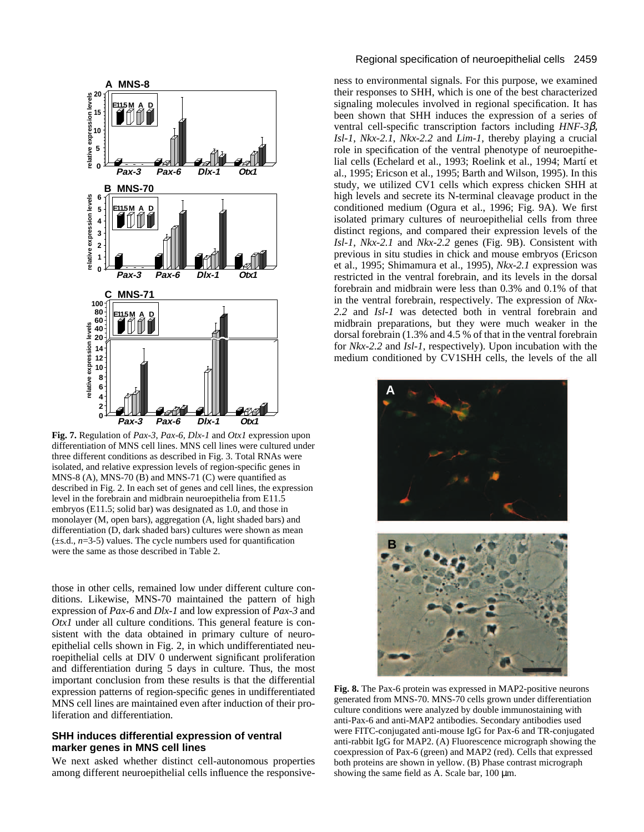

**Fig. 7.** Regulation of *Pax-3*, *Pax-6, Dlx-1* and *Otx1* expression upon differentiation of MNS cell lines. MNS cell lines were cultured under three different conditions as described in Fig. 3. Total RNAs were isolated, and relative expression levels of region-specific genes in MNS-8 (A), MNS-70 ( $\bar{B}$ ) and MNS-71 (C) were quantified as described in Fig. 2. In each set of genes and cell lines, the expression level in the forebrain and midbrain neuroepithelia from E11.5 embryos (E11.5; solid bar) was designated as 1.0, and those in monolayer (M, open bars), aggregation (A, light shaded bars) and differentiation (D, dark shaded bars) cultures were shown as mean (±s.d., *n*=3-5) values. The cycle numbers used for quantification were the same as those described in Table 2.

those in other cells, remained low under different culture conditions. Likewise, MNS-70 maintained the pattern of high expression of *Pax-6* and *Dlx-1* and low expression of *Pax-3* and *Otx1* under all culture conditions. This general feature is consistent with the data obtained in primary culture of neuroepithelial cells shown in Fig. 2, in which undifferentiated neuroepithelial cells at DIV 0 underwent significant proliferation and differentiation during 5 days in culture. Thus, the most important conclusion from these results is that the differential expression patterns of region-specific genes in undifferentiated MNS cell lines are maintained even after induction of their proliferation and differentiation.

# **SHH induces differential expression of ventral marker genes in MNS cell lines**

We next asked whether distinct cell-autonomous properties among different neuroepithelial cells influence the responsive-

#### Regional specification of neuroepithelial cells 2459

ness to environmental signals. For this purpose, we examined their responses to SHH, which is one of the best characterized signaling molecules involved in regional specification. It has been shown that SHH induces the expression of a series of ventral cell-specific transcription factors including *HNF-3*β, *Isl-1*, *Nkx-2.1*, *Nkx-2.2* and *Lim-1*, thereby playing a crucial role in specification of the ventral phenotype of neuroepithelial cells (Echelard et al., 1993; Roelink et al., 1994; Martí et al., 1995; Ericson et al., 1995; Barth and Wilson, 1995). In this study, we utilized CV1 cells which express chicken SHH at high levels and secrete its N-terminal cleavage product in the conditioned medium (Ogura et al., 1996; Fig. 9A). We first isolated primary cultures of neuroepithelial cells from three distinct regions, and compared their expression levels of the *Isl-1*, *Nkx-2.1* and *Nkx-2.2* genes (Fig. 9B). Consistent with previous in situ studies in chick and mouse embryos (Ericson et al., 1995; Shimamura et al., 1995), *Nkx-2.1* expression was restricted in the ventral forebrain, and its levels in the dorsal forebrain and midbrain were less than 0.3% and 0.1% of that in the ventral forebrain, respectively. The expression of *Nkx-2.2* and *Isl-1* was detected both in ventral forebrain and midbrain preparations, but they were much weaker in the dorsal forebrain (1.3% and 4.5 % of that in the ventral forebrain for *Nkx-2.2* and *Isl-1*, respectively). Upon incubation with the medium conditioned by CV1SHH cells, the levels of the all





**Fig. 8.** The Pax-6 protein was expressed in MAP2-positive neurons generated from MNS-70. MNS-70 cells grown under differentiation culture conditions were analyzed by double immunostaining with anti-Pax-6 and anti-MAP2 antibodies. Secondary antibodies used were FITC-conjugated anti-mouse IgG for Pax-6 and TR-conjugated anti-rabbit IgG for MAP2. (A) Fluorescence micrograph showing the coexpression of Pax-6 (green) and MAP2 (red). Cells that expressed both proteins are shown in yellow. (B) Phase contrast micrograph showing the same field as A. Scale bar,  $100 \mu m$ .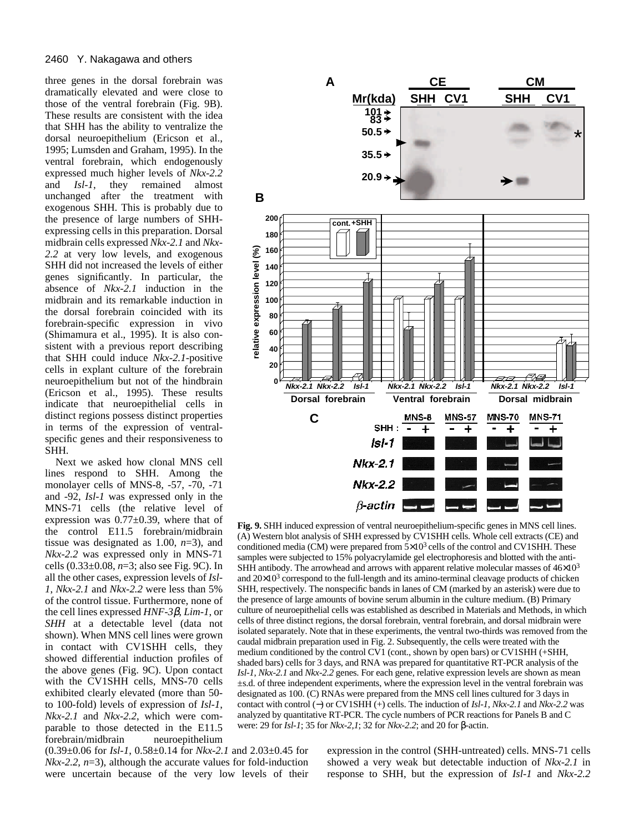three genes in the dorsal forebrain was dramatically elevated and were close to those of the ventral forebrain (Fig. 9B). These results are consistent with the idea that SHH has the ability to ventralize the dorsal neuroepithelium (Ericson et al., 1995; Lumsden and Graham, 1995). In the ventral forebrain, which endogenously expressed much higher levels of *Nkx-2.2* and *Isl-1*, they remained almost unchanged after the treatment with exogenous SHH. This is probably due to the presence of large numbers of SHHexpressing cells in this preparation. Dorsal midbrain cells expressed *Nkx-2.1* and *Nkx-2.2* at very low levels, and exogenous SHH did not increased the levels of either genes significantly. In particular, the absence of *Nkx-2.1* induction in the midbrain and its remarkable induction in the dorsal forebrain coincided with its forebrain-specific expression in vivo (Shimamura et al., 1995). It is also consistent with a previous report describing that SHH could induce *Nkx-2.1*-positive cells in explant culture of the forebrain neuroepithelium but not of the hindbrain (Ericson et al., 1995). These results indicate that neuroepithelial cells in distinct regions possess distinct properties in terms of the expression of ventralspecific genes and their responsiveness to SHH.

Next we asked how clonal MNS cell lines respond to SHH. Among the monolayer cells of MNS-8, -57, -70, -71 and -92, *Isl-1* was expressed only in the MNS-71 cells (the relative level of expression was 0.77±0.39, where that of the control E11.5 forebrain/midbrain tissue was designated as 1.00, *n*=3), and *Nkx-2.2* was expressed only in MNS-71 cells (0.33±0.08, *n*=3; also see Fig. 9C). In all the other cases, expression levels of *Isl-1*, *Nkx-2.1* and *Nkx-2.2* were less than 5% of the control tissue. Furthermore, none of the cell lines expressed *HNF-3*β, *Lim-1*, or *SHH* at a detectable level (data not shown). When MNS cell lines were grown in contact with CV1SHH cells, they showed differential induction profiles of the above genes (Fig. 9C). Upon contact with the CV1SHH cells, MNS-70 cells exhibited clearly elevated (more than 50 to 100-fold) levels of expression of *Isl-1*, *Nkx-2.1* and *Nkx-2.2*, which were comparable to those detected in the E11.5 forebrain/midbrain neuroepithelium

(0.39±0.06 for *Isl-1*, 0.58±0.14 for *Nkx-2.1* and 2.03±0.45 for *Nkx-2.2*, *n*=3), although the accurate values for fold-induction were uncertain because of the very low levels of their



**Fig. 9.** SHH induced expression of ventral neuroepithelium-specific genes in MNS cell lines. (A) Western blot analysis of SHH expressed by CV1SHH cells. Whole cell extracts (CE) and conditioned media (CM) were prepared from  $5\times10^3$  cells of the control and CV1SHH. These samples were subjected to 15% polyacrylamide gel electrophoresis and blotted with the anti-SHH antibody. The arrowhead and arrows with apparent relative molecular masses of  $46\times10^{3}$ and  $20\times10^3$  correspond to the full-length and its amino-terminal cleavage products of chicken SHH, respectively. The nonspecific bands in lanes of CM (marked by an asterisk) were due to the presence of large amounts of bovine serum albumin in the culture medium. (B) Primary culture of neuroepithelial cells was established as described in Materials and Methods, in which cells of three distinct regions, the dorsal forebrain, ventral forebrain, and dorsal midbrain were isolated separately. Note that in these experiments, the ventral two-thirds was removed from the caudal midbrain preparation used in Fig. 2. Subsequently, the cells were treated with the medium conditioned by the control CV1 (cont., shown by open bars) or CV1SHH (+SHH, shaded bars) cells for 3 days, and RNA was prepared for quantitative RT-PCR analysis of the *Isl-1*, *Nkx-2.1* and *Nkx-2.2* genes. For each gene, relative expression levels are shown as mean ±s.d. of three independent experiments, where the expression level in the ventral forebrain was designated as 100. (C) RNAs were prepared from the MNS cell lines cultured for 3 days in contact with control (−) or CV1SHH (+) cells. The induction of *Isl-1*, *Nkx-2.1* and *Nkx-2.2* was analyzed by quantitative RT-PCR. The cycle numbers of PCR reactions for Panels B and C were: 29 for *Isl-1*; 35 for *Nkx-2,1*; 32 for *Nkx-2.2*; and 20 for β-actin.

expression in the control (SHH-untreated) cells. MNS-71 cells showed a very weak but detectable induction of *Nkx-2.1* in response to SHH, but the expression of *Isl-1* and *Nkx-2.2*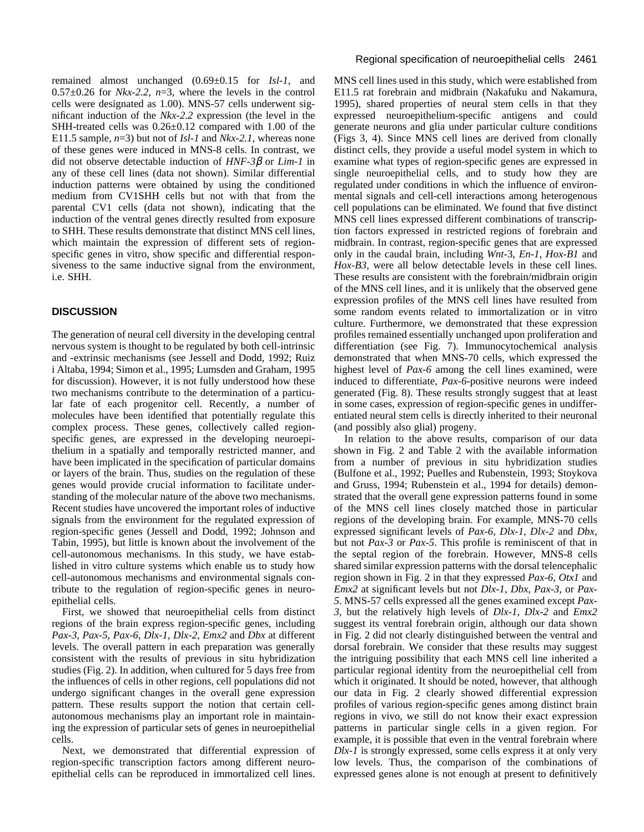remained almost unchanged (0.69±0.15 for *Isl-1*, and  $0.57\pm0.26$  for *Nkx-2.2*,  $n=3$ , where the levels in the control cells were designated as 1.00). MNS-57 cells underwent significant induction of the *Nkx-2.2* expression (the level in the SHH-treated cells was 0.26±0.12 compared with 1.00 of the E11.5 sample, *n*=3) but not of *Isl-1* and *Nkx-2.1*, whereas none of these genes were induced in MNS-8 cells. In contrast, we did not observe detectable induction of *HNF-3*β or *Lim-1* in any of these cell lines (data not shown). Similar differential induction patterns were obtained by using the conditioned medium from CV1SHH cells but not with that from the parental CV1 cells (data not shown), indicating that the induction of the ventral genes directly resulted from exposure to SHH. These results demonstrate that distinct MNS cell lines, which maintain the expression of different sets of regionspecific genes in vitro, show specific and differential responsiveness to the same inductive signal from the environment, i.e. SHH.

# **DISCUSSION**

The generation of neural cell diversity in the developing central nervous system is thought to be regulated by both cell-intrinsic and -extrinsic mechanisms (see Jessell and Dodd, 1992; Ruiz i Altaba, 1994; Simon et al., 1995; Lumsden and Graham, 1995 for discussion). However, it is not fully understood how these two mechanisms contribute to the determination of a particular fate of each progenitor cell. Recently, a number of molecules have been identified that potentially regulate this complex process. These genes, collectively called regionspecific genes, are expressed in the developing neuroepithelium in a spatially and temporally restricted manner, and have been implicated in the specification of particular domains or layers of the brain. Thus, studies on the regulation of these genes would provide crucial information to facilitate understanding of the molecular nature of the above two mechanisms. Recent studies have uncovered the important roles of inductive signals from the environment for the regulated expression of region-specific genes (Jessell and Dodd, 1992; Johnson and Tabin, 1995), but little is known about the involvement of the cell-autonomous mechanisms. In this study, we have established in vitro culture systems which enable us to study how cell-autonomous mechanisms and environmental signals contribute to the regulation of region-specific genes in neuroepithelial cells.

First, we showed that neuroepithelial cells from distinct regions of the brain express region-specific genes, including *Pax-3*, *Pax-5*, *Pax-6*, *Dlx-1*, *Dlx-2*, *Emx2* and *Dbx* at different levels. The overall pattern in each preparation was generally consistent with the results of previous in situ hybridization studies (Fig. 2). In addition, when cultured for 5 days free from the influences of cells in other regions, cell populations did not undergo significant changes in the overall gene expression pattern. These results support the notion that certain cellautonomous mechanisms play an important role in maintaining the expression of particular sets of genes in neuroepithelial cells.

Next, we demonstrated that differential expression of region-specific transcription factors among different neuroepithelial cells can be reproduced in immortalized cell lines.

MNS cell lines used in this study, which were established from E11.5 rat forebrain and midbrain (Nakafuku and Nakamura, 1995), shared properties of neural stem cells in that they expressed neuroepithelium-specific antigens and could generate neurons and glia under particular culture conditions (Figs 3, 4). Since MNS cell lines are derived from clonally distinct cells, they provide a useful model system in which to examine what types of region-specific genes are expressed in single neuroepithelial cells, and to study how they are regulated under conditions in which the influence of environmental signals and cell-cell interactions among heterogenous cell populations can be eliminated. We found that five distinct MNS cell lines expressed different combinations of transcription factors expressed in restricted regions of forebrain and midbrain. In contrast, region-specific genes that are expressed only in the caudal brain, including *Wnt-*3, *En-1*, *Hox-B1* and *Hox-B3*, were all below detectable levels in these cell lines. These results are consistent with the forebrain/midbrain origin of the MNS cell lines, and it is unlikely that the observed gene expression profiles of the MNS cell lines have resulted from some random events related to immortalization or in vitro culture. Furthermore, we demonstrated that these expression profiles remained essentially unchanged upon proliferation and differentiation (see Fig. 7). Immunocytochemical analysis demonstrated that when MNS-70 cells, which expressed the highest level of *Pax-6* among the cell lines examined, were induced to differentiate, *Pax-6*-positive neurons were indeed generated (Fig. 8). These results strongly suggest that at least in some cases, expression of region-specific genes in undifferentiated neural stem cells is directly inherited to their neuronal (and possibly also glial) progeny.

In relation to the above results, comparison of our data shown in Fig. 2 and Table 2 with the available information from a number of previous in situ hybridization studies (Bulfone et al., 1992; Puelles and Rubenstein, 1993; Stoykova and Gruss, 1994; Rubenstein et al., 1994 for details) demonstrated that the overall gene expression patterns found in some of the MNS cell lines closely matched those in particular regions of the developing brain. For example, MNS-70 cells expressed significant levels of *Pax-6*, *Dlx-1*, *Dlx-2* and *Dbx*, but not *Pax-3* or *Pax-5*. This profile is reminiscent of that in the septal region of the forebrain. However, MNS-8 cells shared similar expression patterns with the dorsal telencephalic region shown in Fig. 2 in that they expressed *Pax-6*, *Otx1* and *Emx2* at significant levels but not *Dlx-1*, *Dbx*, *Pax-3*, or *Pax-5*. MNS-57 cells expressed all the genes examined except *Pax-3*, but the relatively high levels of *Dlx-1*, *Dlx-2* and *Emx2* suggest its ventral forebrain origin, although our data shown in Fig. 2 did not clearly distinguished between the ventral and dorsal forebrain. We consider that these results may suggest the intriguing possibility that each MNS cell line inherited a particular regional identity from the neuroepithelial cell from which it originated. It should be noted, however, that although our data in Fig. 2 clearly showed differential expression profiles of various region-specific genes among distinct brain regions in vivo, we still do not know their exact expression patterns in particular single cells in a given region. For example, it is possible that even in the ventral forebrain where *Dlx-1* is strongly expressed, some cells express it at only very low levels. Thus, the comparison of the combinations of expressed genes alone is not enough at present to definitively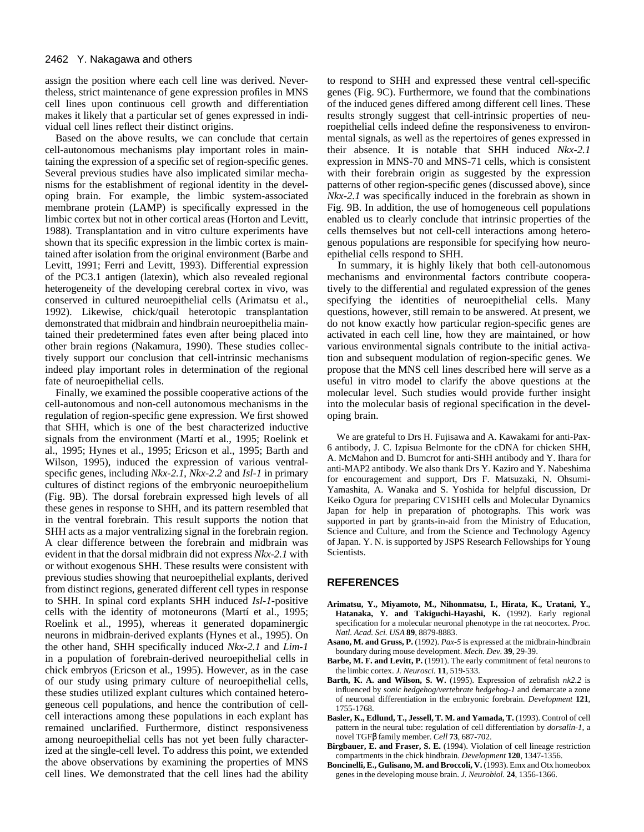assign the position where each cell line was derived. Nevertheless, strict maintenance of gene expression profiles in MNS cell lines upon continuous cell growth and differentiation makes it likely that a particular set of genes expressed in individual cell lines reflect their distinct origins.

Based on the above results, we can conclude that certain cell-autonomous mechanisms play important roles in maintaining the expression of a specific set of region-specific genes. Several previous studies have also implicated similar mechanisms for the establishment of regional identity in the developing brain. For example, the limbic system-associated membrane protein (LAMP) is specifically expressed in the limbic cortex but not in other cortical areas (Horton and Levitt, 1988). Transplantation and in vitro culture experiments have shown that its specific expression in the limbic cortex is maintained after isolation from the original environment (Barbe and Levitt, 1991; Ferri and Levitt, 1993). Differential expression of the PC3.1 antigen (latexin), which also revealed regional heterogeneity of the developing cerebral cortex in vivo, was conserved in cultured neuroepithelial cells (Arimatsu et al., 1992). Likewise, chick/quail heterotopic transplantation demonstrated that midbrain and hindbrain neuroepithelia maintained their predetermined fates even after being placed into other brain regions (Nakamura, 1990). These studies collectively support our conclusion that cell-intrinsic mechanisms indeed play important roles in determination of the regional fate of neuroepithelial cells.

Finally, we examined the possible cooperative actions of the cell-autonomous and non-cell autonomous mechanisms in the regulation of region-specific gene expression. We first showed that SHH, which is one of the best characterized inductive signals from the environment (Martí et al., 1995; Roelink et al., 1995; Hynes et al., 1995; Ericson et al., 1995; Barth and Wilson, 1995), induced the expression of various ventralspecific genes, including *Nkx-2.1*, *Nkx-2.2* and *Isl-1* in primary cultures of distinct regions of the embryonic neuroepithelium (Fig. 9B). The dorsal forebrain expressed high levels of all these genes in response to SHH, and its pattern resembled that in the ventral forebrain. This result supports the notion that SHH acts as a major ventralizing signal in the forebrain region. A clear difference between the forebrain and midbrain was evident in that the dorsal midbrain did not express *Nkx-2.1* with or without exogenous SHH. These results were consistent with previous studies showing that neuroepithelial explants, derived from distinct regions, generated different cell types in response to SHH. In spinal cord explants SHH induced *Isl-1*-positive cells with the identity of motoneurons (Martí et al., 1995; Roelink et al., 1995), whereas it generated dopaminergic neurons in midbrain-derived explants (Hynes et al., 1995). On the other hand, SHH specifically induced *Nkx-2.1* and *Lim-1* in a population of forebrain-derived neuroepithelial cells in chick embryos (Ericson et al., 1995). However, as in the case of our study using primary culture of neuroepithelial cells, these studies utilized explant cultures which contained heterogeneous cell populations, and hence the contribution of cellcell interactions among these populations in each explant has remained unclarified. Furthermore, distinct responsiveness among neuroepithelial cells has not yet been fully characterized at the single-cell level. To address this point, we extended the above observations by examining the properties of MNS cell lines. We demonstrated that the cell lines had the ability to respond to SHH and expressed these ventral cell-specific genes (Fig. 9C). Furthermore, we found that the combinations of the induced genes differed among different cell lines. These results strongly suggest that cell-intrinsic properties of neuroepithelial cells indeed define the responsiveness to environmental signals, as well as the repertoires of genes expressed in their absence. It is notable that SHH induced *Nkx-2.1* expression in MNS-70 and MNS-71 cells, which is consistent with their forebrain origin as suggested by the expression patterns of other region-specific genes (discussed above), since *Nkx-2.1* was specifically induced in the forebrain as shown in Fig. 9B. In addition, the use of homogeneous cell populations enabled us to clearly conclude that intrinsic properties of the cells themselves but not cell-cell interactions among heterogenous populations are responsible for specifying how neuroepithelial cells respond to SHH.

In summary, it is highly likely that both cell-autonomous mechanisms and environmental factors contribute cooperatively to the differential and regulated expression of the genes specifying the identities of neuroepithelial cells. Many questions, however, still remain to be answered. At present, we do not know exactly how particular region-specific genes are activated in each cell line, how they are maintained, or how various environmental signals contribute to the initial activation and subsequent modulation of region-specific genes. We propose that the MNS cell lines described here will serve as a useful in vitro model to clarify the above questions at the molecular level. Such studies would provide further insight into the molecular basis of regional specification in the developing brain.

We are grateful to Drs H. Fujisawa and A. Kawakami for anti-Pax-6 antibody, J. C. Izpisua Belmonte for the cDNA for chicken SHH, A. McMahon and D. Bumcrot for anti-SHH antibody and Y. Ihara for anti-MAP2 antibody. We also thank Drs Y. Kaziro and Y. Nabeshima for encouragement and support, Drs F. Matsuzaki, N. Ohsumi-Yamashita, A. Wanaka and S. Yoshida for helpful discussion, Dr Keiko Ogura for preparing CV1SHH cells and Molecular Dynamics Japan for help in preparation of photographs. This work was supported in part by grants-in-aid from the Ministry of Education, Science and Culture, and from the Science and Technology Agency of Japan. Y. N. is supported by JSPS Research Fellowships for Young Scientists.

### **REFERENCES**

- **Arimatsu, Y., Miyamoto, M., Nihonmatsu, I., Hirata, K., Uratani, Y., Hatanaka, Y. and Takiguchi-Hayashi, K.** (1992). Early regional specification for a molecular neuronal phenotype in the rat neocortex. *Proc. Natl. Acad. Sci. USA* **89**, 8879-8883.
- **Asano, M. and Gruss, P.** (1992). *Pax-5* is expressed at the midbrain-hindbrain boundary during mouse development. *Mech. Dev.* **39**, 29-39.
- **Barbe, M. F. and Levitt, P.** (1991). The early commitment of fetal neurons to the limbic cortex. *J. Neurosci.* **11**, 519-533.
- **Barth, K. A. and Wilson, S. W.** (1995). Expression of zebrafish *nk2.2* is influenced by *sonic hedgehog/vertebrate hedgehog-1* and demarcate a zone of neuronal differentiation in the embryonic forebrain. *Development* **121**, 1755-1768.
- Basler, K., Edlund, T., Jessell, T. M. and Yamada, T. (1993). Control of cell pattern in the neural tube: regulation of cell differentiation by *dorsalin-1*, a novel TGFβ family member. *Cell* **73**, 687-702.
- **Birgbauer, E. and Fraser, S. E.** (1994). Violation of cell lineage restriction compartments in the chick hindbrain. *Development* **120**, 1347-1356.
- **Boncinelli, E., Gulisano, M. and Broccoli, V.** (1993). Emx and Otx homeobox genes in the developing mouse brain. *J. Neurobiol.* **24**, 1356-1366.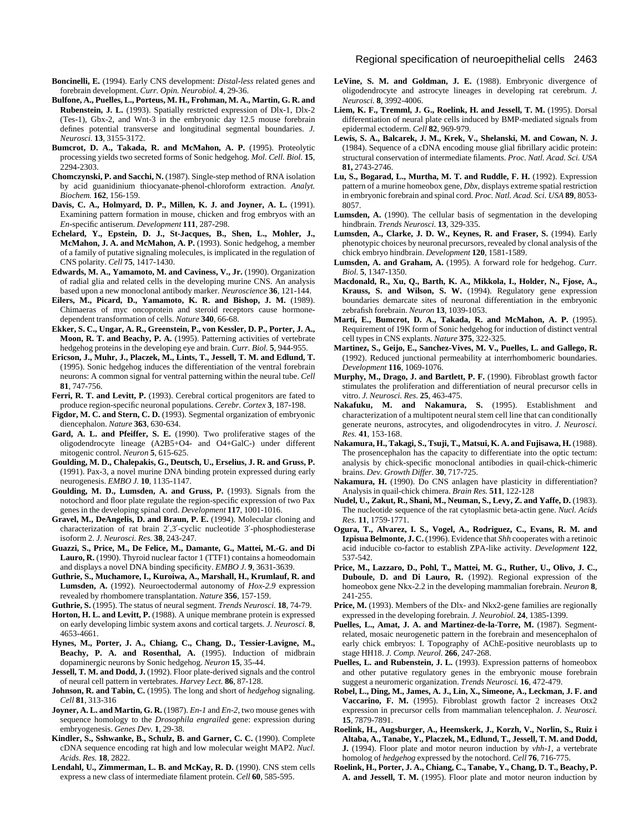- **Boncinelli, E.** (1994). Early CNS development: *Distal-less* related genes and forebrain development. *Curr. Opin. Neurobiol.* **4**, 29-36.
- **Bulfone, A., Puelles, L., Porteus, M. H., Frohman, M. A., Martin, G. R. and Rubenstein, J. L.** (1993). Spatially restricted expression of Dlx-1, Dlx-2 (Tes-1), Gbx-2, and Wnt-3 in the embryonic day 12.5 mouse forebrain defines potential transverse and longitudinal segmental boundaries. *J. Neurosci.* **13**, 3155-3172.
- **Bumcrot, D. A., Takada, R. and McMahon, A. P.** (1995). Proteolytic processing yields two secreted forms of Sonic hedgehog. *Mol. Cell. Biol.* **15**, 2294-2303.
- **Chomczynski, P. and Sacchi, N.** (1987). Single-step method of RNA isolation by acid guanidinium thiocyanate-phenol-chloroform extraction. *Analyt. Biochem.* **162**, 156-159.
- **Davis, C. A., Holmyard, D. P., Millen, K. J. and Joyner, A. L.** (1991). Examining pattern formation in mouse, chicken and frog embryos with an *En*-specific antiserum. *Development* **111**, 287-298.
- **Echelard, Y., Epstein, D. J., St-Jacques, B., Shen, L., Mohler, J., McMahon, J. A. and McMahon, A. P.** (1993). Sonic hedgehog, a member of a family of putative signaling molecules, is implicated in the regulation of CNS polarity. *Cell* **75**, 1417-1430.
- **Edwards, M. A., Yamamoto, M. and Caviness, V., Jr.** (1990). Organization of radial glia and related cells in the developing murine CNS. An analysis based upon a new monoclonal antibody marker. *Neuroscience* **36**, 121-144.
- **Eilers, M., Picard, D., Yamamoto, K. R. and Bishop, J. M.** (1989). Chimaeras of myc oncoprotein and steroid receptors cause hormonedependent transformation of cells. *Nature* **340**, 66-68.
- **Ekker, S. C., Ungar, A. R., Greenstein, P., von Kessler, D. P., Porter, J. A., Moon, R. T. and Beachy, P. A.** (1995). Patterning activities of vertebrate hedgehog proteins in the developing eye and brain. *Curr. Biol.* **5**, 944-955.
- **Ericson, J., Muhr, J., Placzek, M., Lints, T., Jessell, T. M. and Edlund, T.** (1995). Sonic hedgehog induces the differentiation of the ventral forebrain neurons: A common signal for ventral patterning within the neural tube. *Cell* **81**, 747-756.
- Ferri, R. T. and Levitt, P. (1993). Cerebral cortical progenitors are fated to produce region-specific neuronal populations. *Cerebr. Cortex* **3**, 187-198.
- **Figdor, M. C. and Stern, C. D.** (1993). Segmental organization of embryonic diencephalon. *Nature* **363**, 630-634.
- **Gard, A. L. and Pfeiffer, S. E.** (1990). Two proliferative stages of the oligodendrocyte lineage (A2B5+O4- and O4+GalC-) under different mitogenic control. *Neuron* **5**, 615-625.
- **Goulding, M. D., Chalepakis, G., Deutsch, U., Erselius, J. R. and Gruss, P.** (1991). Pax-3, a novel murine DNA binding protein expressed during early neurogenesis. *EMBO J.* **10**, 1135-1147.
- **Goulding, M. D., Lumsden, A. and Gruss, P.** (1993). Signals from the notochord and floor plate regulate the region-specific expression of two Pax genes in the developing spinal cord. *Development* **117**, 1001-1016.
- **Gravel, M., DeAngelis, D. and Braun, P. E.** (1994). Molecular cloning and characterization of rat brain 2′,3′-cyclic nucleotide 3′-phosphodiesterase isoform 2. *J. Neurosci. Res.* **38**, 243-247.
- **Guazzi, S., Price, M., De Felice, M., Damante, G., Mattei, M.-G. and Di** Lauro, R. (1990). Thyroid nuclear factor 1 (TTF1) contains a homeodomain and displays a novel DNA binding specificity. *EMBO J.* **9**, 3631-3639.
- **Guthrie, S., Muchamore, I., Kuroiwa, A., Marshall, H., Krumlauf, R. and Lumsden, A.** (1992). Neuroectodermal autonomy of *Hox-2.9* expression revealed by rhombomere transplantation. *Nature* **356**, 157-159.

**Guthrie, S.** (1995). The status of neural segment. *Trends Neurosci.* **18**, 74-79.

- Horton, H. L. and Levitt, P. (1988). A unique membrane protein is expressed on early developing limbic system axons and cortical targets. *J. Neurosci.* **8**, 4653-4661.
- **Hynes, M., Porter, J. A., Chiang, C., Chang, D., Tessier-Lavigne, M.,** Beachy, P. A. and Rosenthal, A. (1995). Induction of midbrain dopaminergic neurons by Sonic hedgehog. *Neuron* **15**, 35-44.
- **Jessell, T. M. and Dodd, J.** (1992). Floor plate-derived signals and the control of neural cell pattern in vertebrates. *Harvey Lect.* **86**, 87-128.
- **Johnson, R. and Tabin, C.** (1995). The long and short of *hedgehog* signaling. *Cell* **81**, 313-316
- **Joyner, A. L. and Martin, G. R.** (1987). *En-1* and *En-2*, two mouse genes with sequence homology to the *Drosophila engrailed* gene: expression during embryogenesis. *Genes Dev.* **1**, 29-38.
- **Kindler, S., Sshwanke, B., Schulz, B. and Garner, C. C.** (1990). Complete cDNA sequence encoding rat high and low molecular weight MAP2. *Nucl. Acids. Res.* **18**, 2822.
- Lendahl, U., Zimmerman, L. B. and McKay, R. D. (1990). CNS stem cells express a new class of intermediate filament protein. *Cell* **60**, 585-595.
- **LeVine, S. M. and Goldman, J. E.** (1988). Embryonic divergence of oligodendrocyte and astrocyte lineages in developing rat cerebrum. *J. Neurosci.* **8**, 3992-4006.
- **Liem, K. F., Tremml, J. G., Roelink, H. and Jessell, T. M.** (1995). Dorsal differentiation of neural plate cells induced by BMP-mediated signals from epidermal ectoderm. *Cell* **82**, 969-979.
- **Lewis, S. A., Balcarek, J. M., Krek, V., Shelanski, M. and Cowan, N. J.** (1984). Sequence of a cDNA encoding mouse glial fibrillary acidic protein: structural conservation of intermediate filaments. *Proc. Natl. Acad. Sci. USA* **81,** 2743-2746.
- **Lu, S., Bogarad, L., Murtha, M. T. and Ruddle, F. H.** (1992). Expression pattern of a murine homeobox gene, *Dbx*, displays extreme spatial restriction in embryonic forebrain and spinal cord. *Proc. Natl. Acad. Sci. USA* **89**, 8053- 8057.
- **Lumsden, A.** (1990). The cellular basis of segmentation in the developing hindbrain. *Trends Neurosci.* **13**, 329-335.
- Lumsden, A., Clarke, J. D. W., Keynes, R. and Fraser, S. (1994). Early phenotypic choices by neuronal precursors, revealed by clonal analysis of the chick embryo hindbrain. *Development* **120**, 1581-1589.
- **Lumsden, A. and Graham, A.** (1995). A forward role for hedgehog. *Curr. Biol.* **5**, 1347-1350.
- **Macdonald, R., Xu, Q., Barth, K. A., Mikkola, I., Holder, N., Fjose, A., Krauss, S. and Wilson, S. W.** (1994). Regulatory gene expression boundaries demarcate sites of neuronal differentiation in the embryonic zebrafish forebrain. *Neuron* **13**, 1039-1053.
- **Martí, E., Bumcrot, D. A., Takada, R. and McMahon, A. P.** (1995). Requirement of 19K form of Sonic hedgehog for induction of distinct ventral cell types in CNS explants. *Nature* **375**, 322-325.
- **Martinez, S., Geijo, E., Sanchez-Vives, M. V., Puelles, L. and Gallego, R.** (1992). Reduced junctional permeability at interrhombomeric boundaries. *Development* **116**, 1069-1076.
- **Murphy, M., Drago, J. and Bartlett, P. F.** (1990). Fibroblast growth factor stimulates the proliferation and differentiation of neural precursor cells in vitro. *J. Neurosci. Res.* **25**, 463-475.
- **Nakafuku, M. and Nakamura, S.** (1995). Establishment and characterization of a multipotent neural stem cell line that can conditionally generate neurons, astrocytes, and oligodendrocytes in vitro. *J. Neurosci. Res.* **41**, 153-168.
- **Nakamura, H., Takagi, S., Tsuji, T., Matsui, K. A. and Fujisawa, H.** (1988). The prosencephalon has the capacity to differentiate into the optic tectum: analysis by chick-specific monoclonal antibodies in quail-chick-chimeric brains. *Dev. Growth Differ.* **30**, 717-725.
- Nakamura, H. (1990). Do CNS anlagen have plasticity in differentiation? Analysis in quail-chick chimera. *Brain Res.* **511**, 122-128
- **Nudel, U., Zakut, R., Shani, M., Neuman, S., Levy, Z. and Yaffe, D.** (1983). The nucleotide sequence of the rat cytoplasmic beta-actin gene. *Nucl. Acids Res.* **11**, 1759-1771.
- **Ogura, T., Alvarez, I. S., Vogel, A., Rodriguez, C., Evans, R. M. and Izpisua Belmonte, J. C.** (1996). Evidence that *Shh* cooperates with a retinoic acid inducible co-factor to establish ZPA-like activity. *Development* **122**, 537-542.
- **Price, M., Lazzaro, D., Pohl, T., Mattei, M. G., Ruther, U., Olivo, J. C., Duboule, D. and Di Lauro, R.** (1992). Regional expression of the homeobox gene Nkx-2.2 in the developing mammalian forebrain. *Neuron* **8**, 241-255.
- Price, M. (1993). Members of the Dlx- and Nkx2-gene families are regionally expressed in the developing forebrain. *J. Neurobiol.* **24**, 1385-1399.
- Puelles, L., Amat, J. A. and Martinez-de-la-Torre, M. (1987). Segmentrelated, mosaic neurogenetic pattern in the forebrain and mesencephalon of early chick embryos: I. Topography of AChE-positive neuroblasts up to stage HH18. *J. Comp. Neurol.* **266**, 247-268.
- Puelles, L. and Rubenstein, J. L. (1993). Expression patterns of homeobox and other putative regulatory genes in the embryonic mouse forebrain suggest a neuromeric organization. *Trends Neurosci.* **16**, 472-479.
- **Robel, L., Ding, M., James, A. J., Lin, X., Simeone, A., Leckman, J. F. and Vaccarino, F. M.** (1995). Fibroblast growth factor 2 increases Otx2 expression in precursor cells from mammalian telencephalon. *J. Neurosci.* **15**, 7879-7891.
- **Roelink, H., Augsburger, A., Heemskerk, J., Korzh, V., Norlin, S., Ruiz i Altaba, A., Tanabe, Y., Placzek, M., Edlund, T., Jessell, T. M. and Dodd, J.** (1994). Floor plate and motor neuron induction by *vhh-1*, a vertebrate homolog of *hedgehog* expressed by the notochord. *Cell* **76**, 716-775.
- **Roelink, H., Porter, J. A., Chiang, C., Tanabe, Y., Chang, D. T., Beachy, P. A. and Jessell, T. M.** (1995). Floor plate and motor neuron induction by